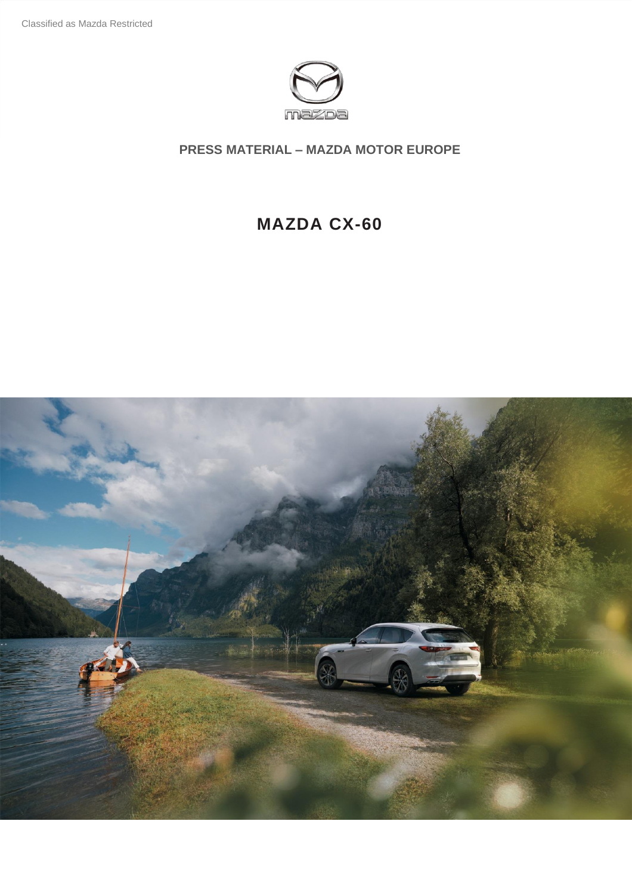

# **MAZDA CX-60**

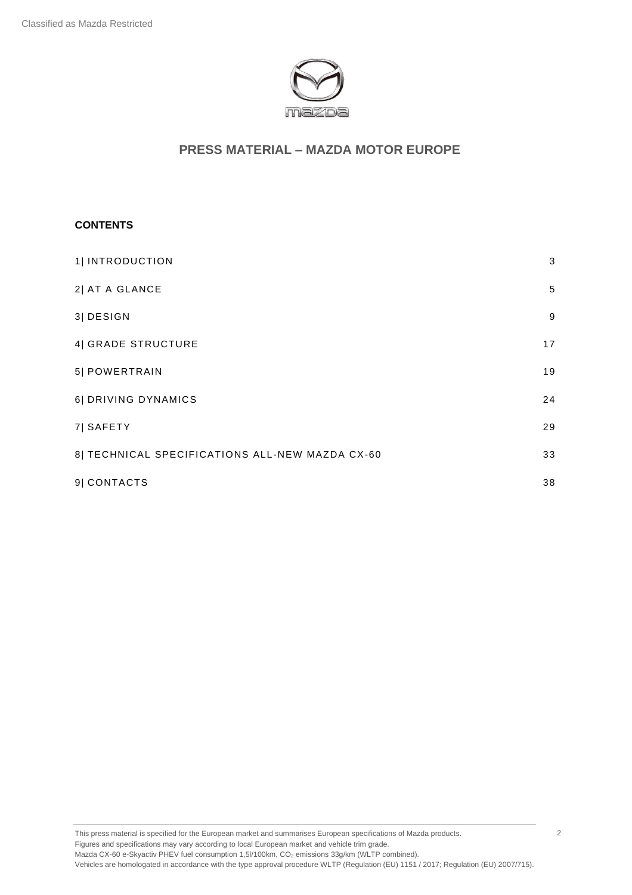

#### **CONTENTS**

| 1  INTRODUCTION                                 | 3  |
|-------------------------------------------------|----|
| 2  AT A GLANCE                                  | 5  |
| 3  DESIGN                                       | 9  |
| 4  GRADE STRUCTURE                              | 17 |
| 5  POWERTRAIN                                   | 19 |
| 6  DRIVING DYNAMICS                             | 24 |
| 7 SAFETY                                        | 29 |
| 8  TECHNICAL SPECIFICATIONS ALL-NEW MAZDA CX-60 | 33 |
| 9  CONTACTS                                     | 38 |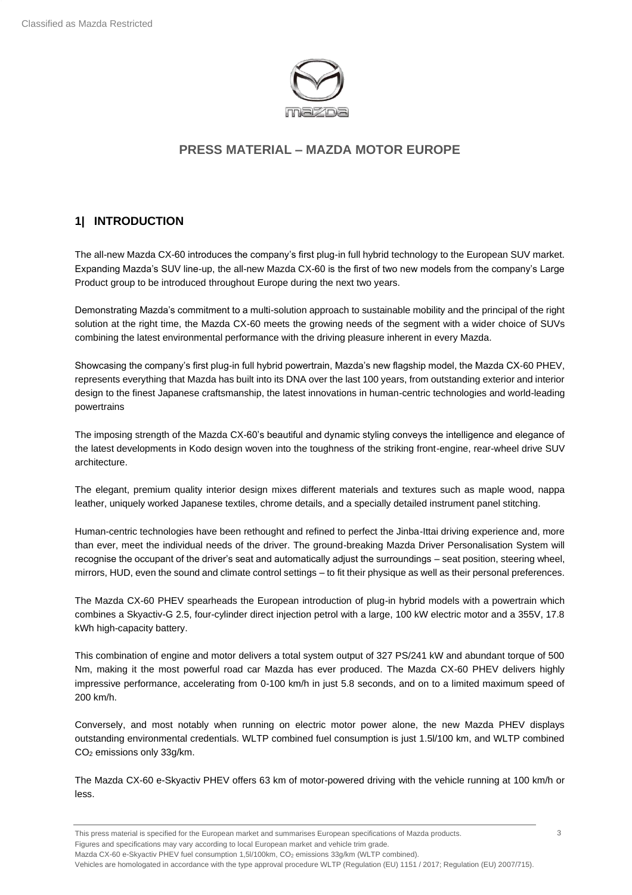

## <span id="page-2-0"></span>**1| INTRODUCTION**

The all-new Mazda CX-60 introduces the company's first plug-in full hybrid technology to the European SUV market. Expanding Mazda's SUV line-up, the all-new Mazda CX-60 is the first of two new models from the company's Large Product group to be introduced throughout Europe during the next two years.

Demonstrating Mazda's commitment to a multi-solution approach to sustainable mobility and the principal of the right solution at the right time, the Mazda CX-60 meets the growing needs of the segment with a wider choice of SUVs combining the latest environmental performance with the driving pleasure inherent in every Mazda.

Showcasing the company's first plug-in full hybrid powertrain, Mazda's new flagship model, the Mazda CX-60 PHEV, represents everything that Mazda has built into its DNA over the last 100 years, from outstanding exterior and interior design to the finest Japanese craftsmanship, the latest innovations in human-centric technologies and world-leading powertrains

The imposing strength of the Mazda CX-60's beautiful and dynamic styling conveys the intelligence and elegance of the latest developments in Kodo design woven into the toughness of the striking front-engine, rear-wheel drive SUV architecture.

The elegant, premium quality interior design mixes different materials and textures such as maple wood, nappa leather, uniquely worked Japanese textiles, chrome details, and a specially detailed instrument panel stitching.

Human-centric technologies have been rethought and refined to perfect the Jinba-Ittai driving experience and, more than ever, meet the individual needs of the driver. The ground-breaking Mazda Driver Personalisation System will recognise the occupant of the driver's seat and automatically adjust the surroundings – seat position, steering wheel, mirrors, HUD, even the sound and climate control settings – to fit their physique as well as their personal preferences.

The Mazda CX-60 PHEV spearheads the European introduction of plug-in hybrid models with a powertrain which combines a Skyactiv-G 2.5, four-cylinder direct injection petrol with a large, 100 kW electric motor and a 355V, 17.8 kWh high-capacity battery.

This combination of engine and motor delivers a total system output of 327 PS/241 kW and abundant torque of 500 Nm, making it the most powerful road car Mazda has ever produced. The Mazda CX-60 PHEV delivers highly impressive performance, accelerating from 0-100 km/h in just 5.8 seconds, and on to a limited maximum speed of 200 km/h.

Conversely, and most notably when running on electric motor power alone, the new Mazda PHEV displays outstanding environmental credentials. WLTP combined fuel consumption is just 1.5l/100 km, and WLTP combined CO<sup>2</sup> emissions only 33g/km.

The Mazda CX-60 e-Skyactiv PHEV offers 63 km of motor-powered driving with the vehicle running at 100 km/h or less.

This press material is specified for the European market and summarises European specifications of Mazda products. Figures and specifications may vary according to local European market and vehicle trim grade. Mazda CX-60 e-Skyactiv PHEV fuel consumption 1,5l/100km, CO<sub>2</sub> emissions 33g/km (WLTP combined).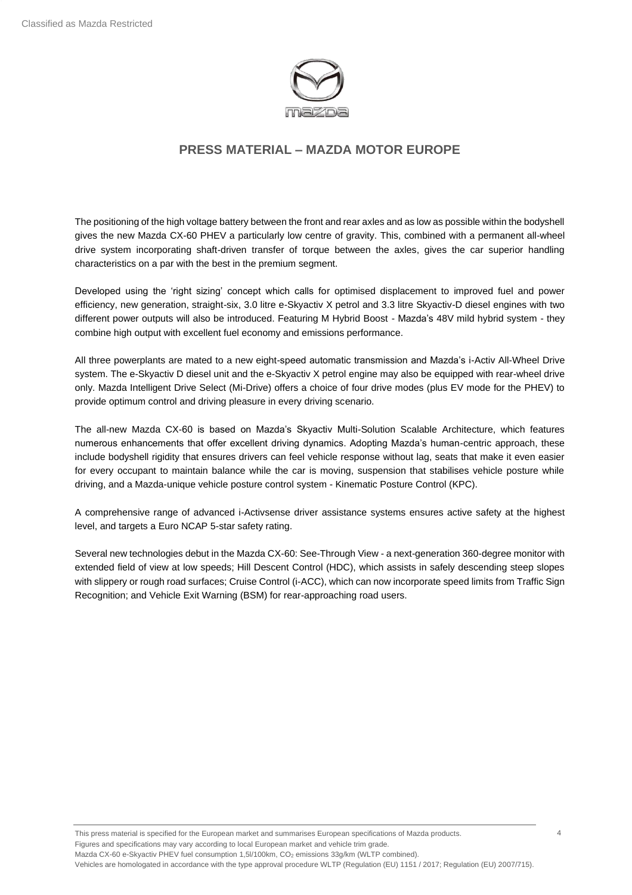

The positioning of the high voltage battery between the front and rear axles and as low as possible within the bodyshell gives the new Mazda CX-60 PHEV a particularly low centre of gravity. This, combined with a permanent all-wheel drive system incorporating shaft-driven transfer of torque between the axles, gives the car superior handling characteristics on a par with the best in the premium segment.

Developed using the 'right sizing' concept which calls for optimised displacement to improved fuel and power efficiency, new generation, straight-six, 3.0 litre e-Skyactiv X petrol and 3.3 litre Skyactiv-D diesel engines with two different power outputs will also be introduced. Featuring M Hybrid Boost - Mazda's 48V mild hybrid system - they combine high output with excellent fuel economy and emissions performance.

All three powerplants are mated to a new eight-speed automatic transmission and Mazda's i-Activ All-Wheel Drive system. The e-Skyactiv D diesel unit and the e-Skyactiv X petrol engine may also be equipped with rear-wheel drive only. Mazda Intelligent Drive Select (Mi-Drive) offers a choice of four drive modes (plus EV mode for the PHEV) to provide optimum control and driving pleasure in every driving scenario.

The all-new Mazda CX-60 is based on Mazda's Skyactiv Multi-Solution Scalable Architecture, which features numerous enhancements that offer excellent driving dynamics. Adopting Mazda's human-centric approach, these include bodyshell rigidity that ensures drivers can feel vehicle response without lag, seats that make it even easier for every occupant to maintain balance while the car is moving, suspension that stabilises vehicle posture while driving, and a Mazda-unique vehicle posture control system - Kinematic Posture Control (KPC).

A comprehensive range of advanced i-Activsense driver assistance systems ensures active safety at the highest level, and targets a Euro NCAP 5-star safety rating.

Several new technologies debut in the Mazda CX-60: See-Through View - a next-generation 360-degree monitor with extended field of view at low speeds; Hill Descent Control (HDC), which assists in safely descending steep slopes with slippery or rough road surfaces; Cruise Control (i-ACC), which can now incorporate speed limits from Traffic Sign Recognition; and Vehicle Exit Warning (BSM) for rear-approaching road users.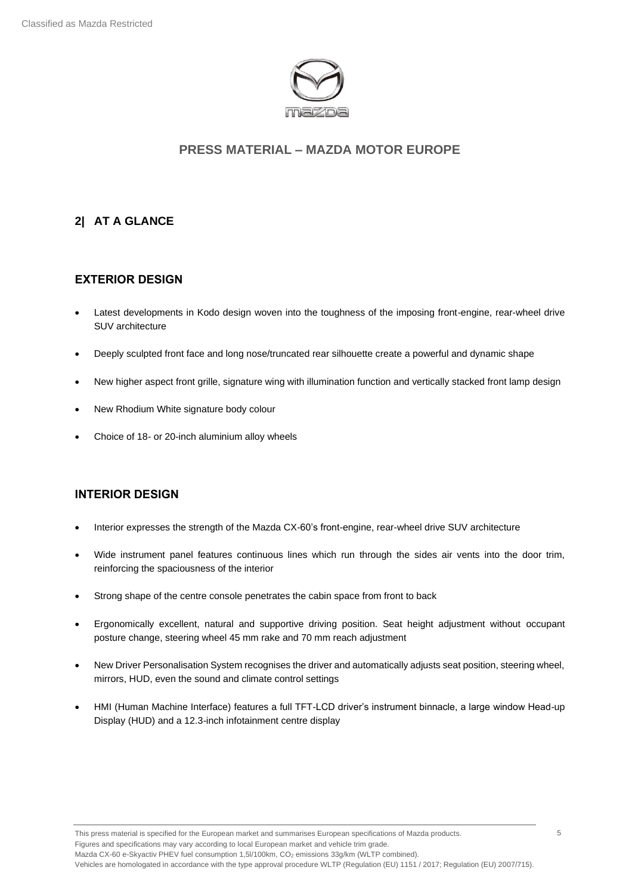

## <span id="page-4-0"></span>**2| AT A GLANCE**

#### **EXTERIOR DESIGN**

- Latest developments in Kodo design woven into the toughness of the imposing front-engine, rear-wheel drive SUV architecture
- Deeply sculpted front face and long nose/truncated rear silhouette create a powerful and dynamic shape
- New higher aspect front grille, signature wing with illumination function and vertically stacked front lamp design
- New Rhodium White signature body colour
- Choice of 18- or 20-inch aluminium alloy wheels

#### **INTERIOR DESIGN**

- Interior expresses the strength of the Mazda CX-60's front-engine, rear-wheel drive SUV architecture
- Wide instrument panel features continuous lines which run through the sides air vents into the door trim, reinforcing the spaciousness of the interior
- Strong shape of the centre console penetrates the cabin space from front to back
- Ergonomically excellent, natural and supportive driving position. Seat height adjustment without occupant posture change, steering wheel 45 mm rake and 70 mm reach adjustment
- New Driver Personalisation System recognises the driver and automatically adjusts seat position, steering wheel, mirrors, HUD, even the sound and climate control settings
- HMI (Human Machine Interface) features a full TFT-LCD driver's instrument binnacle, a large window Head-up Display (HUD) and a 12.3-inch infotainment centre display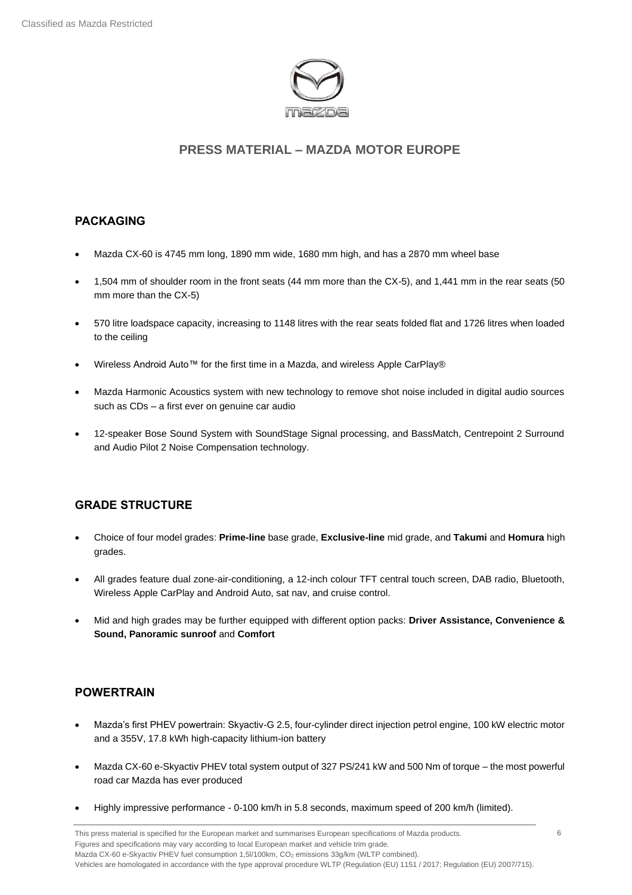

#### **PACKAGING**

- Mazda CX-60 is 4745 mm long, 1890 mm wide, 1680 mm high, and has a 2870 mm wheel base
- 1,504 mm of shoulder room in the front seats (44 mm more than the CX-5), and 1,441 mm in the rear seats (50 mm more than the CX-5)
- 570 litre loadspace capacity, increasing to 1148 litres with the rear seats folded flat and 1726 litres when loaded to the ceiling
- Wireless Android Auto™ for the first time in a Mazda, and wireless Apple CarPlay®
- Mazda Harmonic Acoustics system with new technology to remove shot noise included in digital audio sources such as CDs – a first ever on genuine car audio
- 12-speaker Bose Sound System with SoundStage Signal processing, and BassMatch, Centrepoint 2 Surround and Audio Pilot 2 Noise Compensation technology.

#### **GRADE STRUCTURE**

- Choice of four model grades: **Prime-line** base grade, **Exclusive-line** mid grade, and **Takumi** and **Homura** high grades.
- All grades feature dual zone-air-conditioning, a 12-inch colour TFT central touch screen, DAB radio, Bluetooth, Wireless Apple CarPlay and Android Auto, sat nav, and cruise control.
- Mid and high grades may be further equipped with different option packs: **Driver Assistance, Convenience & Sound, Panoramic sunroof** and **Comfort**

## **POWERTRAIN**

- Mazda's first PHEV powertrain: Skyactiv-G 2.5, four-cylinder direct injection petrol engine, 100 kW electric motor and a 355V, 17.8 kWh high-capacity lithium-ion battery
- Mazda CX-60 e-Skyactiv PHEV total system output of 327 PS/241 kW and 500 Nm of torque the most powerful road car Mazda has ever produced
- Highly impressive performance 0-100 km/h in 5.8 seconds, maximum speed of 200 km/h (limited).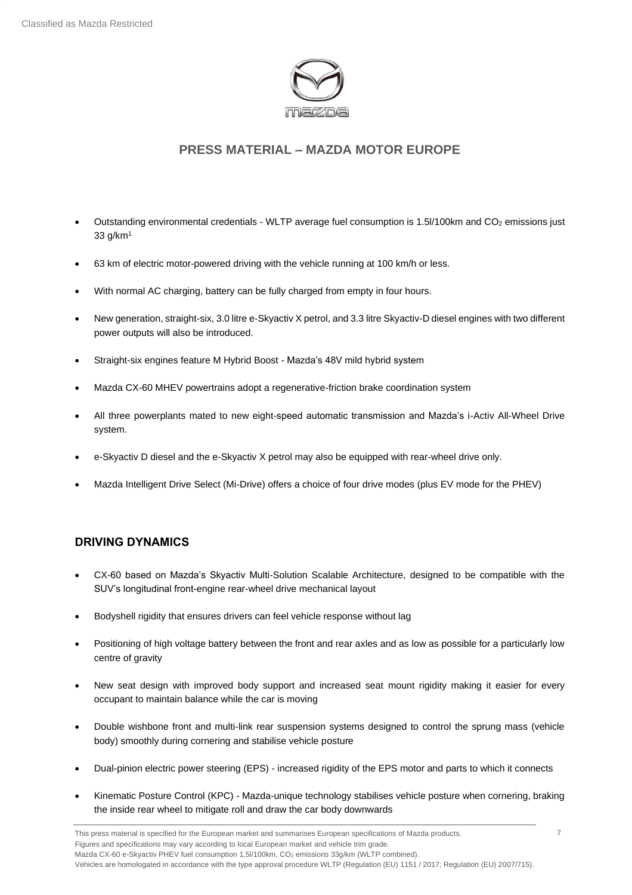

- Outstanding environmental credentials WLTP average fuel consumption is 1.5l/100km and CO<sub>2</sub> emissions just 33 g/km<sup>1</sup>
- 63 km of electric motor-powered driving with the vehicle running at 100 km/h or less.
- With normal AC charging, battery can be fully charged from empty in four hours.
- New generation, straight-six, 3.0 litre e-Skyactiv X petrol, and 3.3 litre Skyactiv-D diesel engines with two different power outputs will also be introduced.
- Straight-six engines feature M Hybrid Boost Mazda's 48V mild hybrid system
- Mazda CX-60 MHEV powertrains adopt a regenerative-friction brake coordination system
- All three powerplants mated to new eight-speed automatic transmission and Mazda's i-Activ All-Wheel Drive system.
- e-Skyactiv D diesel and the e-Skyactiv X petrol may also be equipped with rear-wheel drive only.
- Mazda Intelligent Drive Select (Mi-Drive) offers a choice of four drive modes (plus EV mode for the PHEV)

#### **DRIVING DYNAMICS**

- CX-60 based on Mazda's Skyactiv Multi-Solution Scalable Architecture, designed to be compatible with the SUV's longitudinal front-engine rear-wheel drive mechanical layout
- Bodyshell rigidity that ensures drivers can feel vehicle response without lag
- Positioning of high voltage battery between the front and rear axles and as low as possible for a particularly low centre of gravity
- New seat design with improved body support and increased seat mount rigidity making it easier for every occupant to maintain balance while the car is moving
- Double wishbone front and multi-link rear suspension systems designed to control the sprung mass (vehicle body) smoothly during cornering and stabilise vehicle posture
- Dual-pinion electric power steering (EPS) increased rigidity of the EPS motor and parts to which it connects
- Kinematic Posture Control (KPC) Mazda-unique technology stabilises vehicle posture when cornering, braking the inside rear wheel to mitigate roll and draw the car body downwards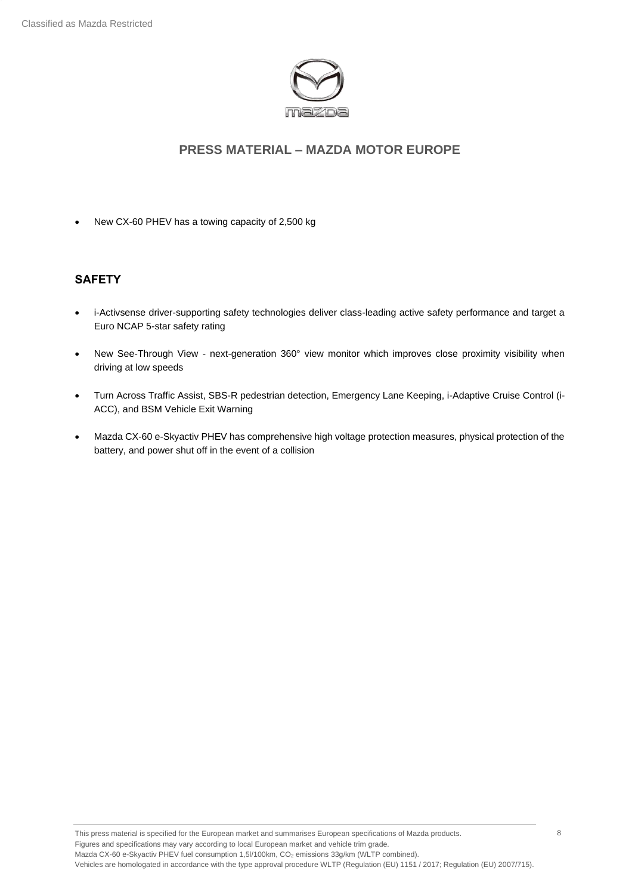

• New CX-60 PHEV has a towing capacity of 2,500 kg

#### **SAFETY**

- i-Activsense driver-supporting safety technologies deliver class-leading active safety performance and target a Euro NCAP 5-star safety rating
- New See-Through View next-generation 360° view monitor which improves close proximity visibility when driving at low speeds
- Turn Across Traffic Assist, SBS-R pedestrian detection, Emergency Lane Keeping, i-Adaptive Cruise Control (i-ACC), and BSM Vehicle Exit Warning
- Mazda CX-60 e-Skyactiv PHEV has comprehensive high voltage protection measures, physical protection of the battery, and power shut off in the event of a collision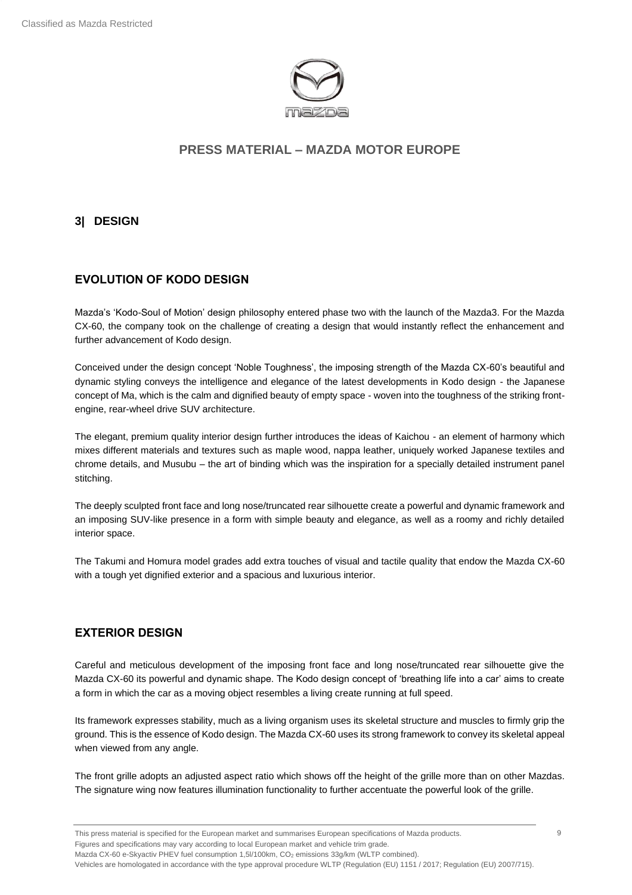

### <span id="page-8-0"></span>**3| DESIGN**

### **EVOLUTION OF KODO DESIGN**

Mazda's 'Kodo-Soul of Motion' design philosophy entered phase two with the launch of the Mazda3. For the Mazda CX-60, the company took on the challenge of creating a design that would instantly reflect the enhancement and further advancement of Kodo design.

Conceived under the design concept 'Noble Toughness', the imposing strength of the Mazda CX-60's beautiful and dynamic styling conveys the intelligence and elegance of the latest developments in Kodo design - the Japanese concept of Ma, which is the calm and dignified beauty of empty space - woven into the toughness of the striking frontengine, rear-wheel drive SUV architecture.

The elegant, premium quality interior design further introduces the ideas of Kaichou - an element of harmony which mixes different materials and textures such as maple wood, nappa leather, uniquely worked Japanese textiles and chrome details, and Musubu – the art of binding which was the inspiration for a specially detailed instrument panel stitching.

The deeply sculpted front face and long nose/truncated rear silhouette create a powerful and dynamic framework and an imposing SUV-like presence in a form with simple beauty and elegance, as well as a roomy and richly detailed interior space.

The Takumi and Homura model grades add extra touches of visual and tactile quality that endow the Mazda CX-60 with a tough yet dignified exterior and a spacious and luxurious interior.

#### **EXTERIOR DESIGN**

Careful and meticulous development of the imposing front face and long nose/truncated rear silhouette give the Mazda CX-60 its powerful and dynamic shape. The Kodo design concept of 'breathing life into a car' aims to create a form in which the car as a moving object resembles a living create running at full speed.

Its framework expresses stability, much as a living organism uses its skeletal structure and muscles to firmly grip the ground. This is the essence of Kodo design. The Mazda CX-60 uses its strong framework to convey its skeletal appeal when viewed from any angle.

The front grille adopts an adjusted aspect ratio which shows off the height of the grille more than on other Mazdas. The signature wing now features illumination functionality to further accentuate the powerful look of the grille.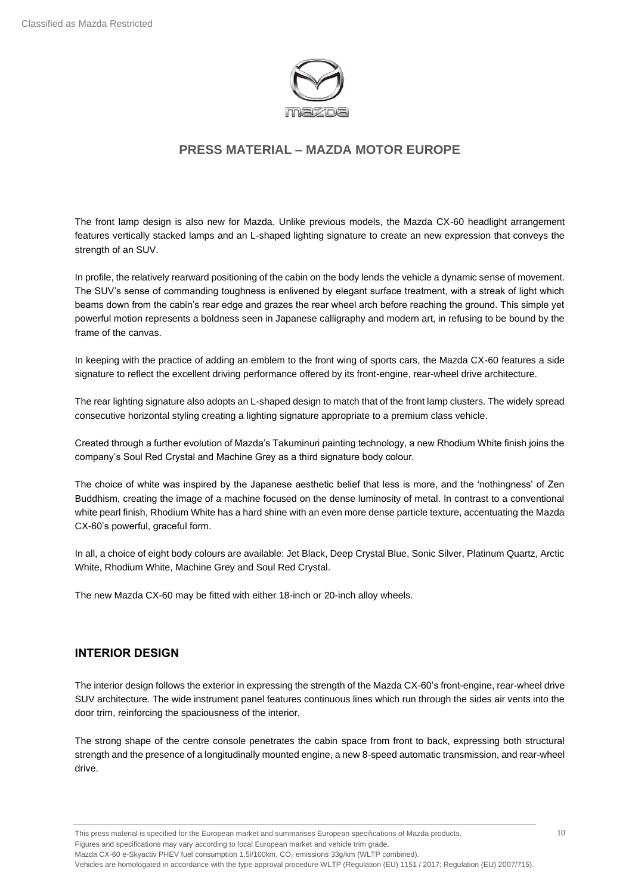

The front lamp design is also new for Mazda. Unlike previous models, the Mazda CX-60 headlight arrangement features vertically stacked lamps and an L-shaped lighting signature to create an new expression that conveys the strength of an SUV.

In profile, the relatively rearward positioning of the cabin on the body lends the vehicle a dynamic sense of movement. The SUV's sense of commanding toughness is enlivened by elegant surface treatment, with a streak of light which beams down from the cabin's rear edge and grazes the rear wheel arch before reaching the ground. This simple yet powerful motion represents a boldness seen in Japanese calligraphy and modern art, in refusing to be bound by the frame of the canvas.

In keeping with the practice of adding an emblem to the front wing of sports cars, the Mazda CX-60 features a side signature to reflect the excellent driving performance offered by its front-engine, rear-wheel drive architecture.

The rear lighting signature also adopts an L-shaped design to match that of the front lamp clusters. The widely spread consecutive horizontal styling creating a lighting signature appropriate to a premium class vehicle.

Created through a further evolution of Mazda's Takuminuri painting technology, a new Rhodium White finish joins the company's Soul Red Crystal and Machine Grey as a third signature body colour.

The choice of white was inspired by the Japanese aesthetic belief that less is more, and the 'nothingness' of Zen Buddhism, creating the image of a machine focused on the dense luminosity of metal. In contrast to a conventional white pearl finish, Rhodium White has a hard shine with an even more dense particle texture, accentuating the Mazda CX-60's powerful, graceful form.

In all, a choice of eight body colours are available: Jet Black, Deep Crystal Blue, Sonic Silver, Platinum Quartz, Arctic White, Rhodium White, Machine Grey and Soul Red Crystal.

The new Mazda CX-60 may be fitted with either 18-inch or 20-inch alloy wheels.

#### **INTERIOR DESIGN**

The interior design follows the exterior in expressing the strength of the Mazda CX-60's front-engine, rear-wheel drive SUV architecture. The wide instrument panel features continuous lines which run through the sides air vents into the door trim, reinforcing the spaciousness of the interior.

The strong shape of the centre console penetrates the cabin space from front to back, expressing both structural strength and the presence of a longitudinally mounted engine, a new 8-speed automatic transmission, and rear-wheel drive.

This press material is specified for the European market and summarises European specifications of Mazda products. Figures and specifications may vary according to local European market and vehicle trim grade. Mazda CX-60 e-Skyactiv PHEV fuel consumption 1,5l/100km, CO<sub>2</sub> emissions 33g/km (WLTP combined).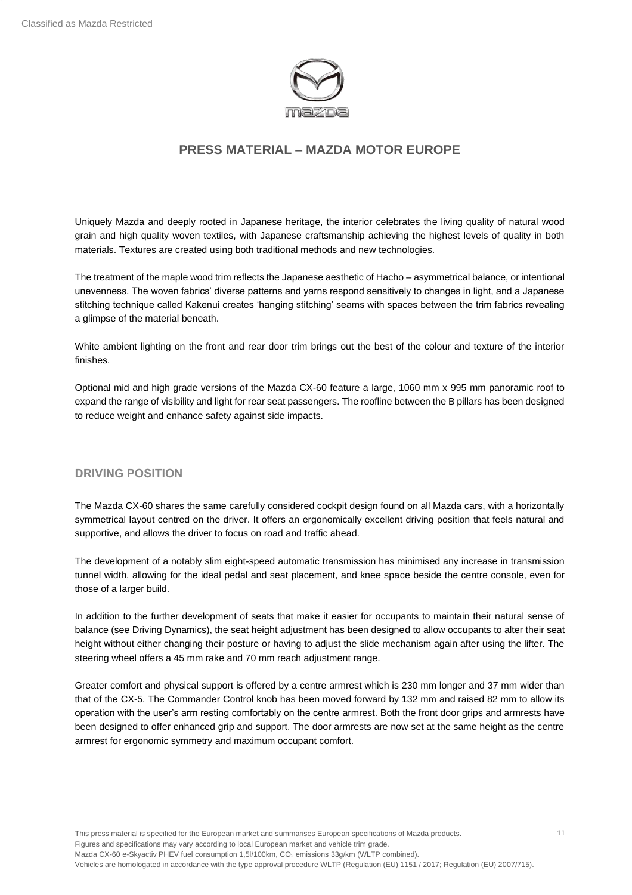

Uniquely Mazda and deeply rooted in Japanese heritage, the interior celebrates the living quality of natural wood grain and high quality woven textiles, with Japanese craftsmanship achieving the highest levels of quality in both materials. Textures are created using both traditional methods and new technologies.

The treatment of the maple wood trim reflects the Japanese aesthetic of Hacho – asymmetrical balance, or intentional unevenness. The woven fabrics' diverse patterns and yarns respond sensitively to changes in light, and a Japanese stitching technique called Kakenui creates 'hanging stitching' seams with spaces between the trim fabrics revealing a glimpse of the material beneath.

White ambient lighting on the front and rear door trim brings out the best of the colour and texture of the interior finishes.

Optional mid and high grade versions of the Mazda CX-60 feature a large, 1060 mm x 995 mm panoramic roof to expand the range of visibility and light for rear seat passengers. The roofline between the B pillars has been designed to reduce weight and enhance safety against side impacts.

#### **DRIVING POSITION**

The Mazda CX-60 shares the same carefully considered cockpit design found on all Mazda cars, with a horizontally symmetrical layout centred on the driver. It offers an ergonomically excellent driving position that feels natural and supportive, and allows the driver to focus on road and traffic ahead.

The development of a notably slim eight-speed automatic transmission has minimised any increase in transmission tunnel width, allowing for the ideal pedal and seat placement, and knee space beside the centre console, even for those of a larger build.

In addition to the further development of seats that make it easier for occupants to maintain their natural sense of balance (see Driving Dynamics), the seat height adjustment has been designed to allow occupants to alter their seat height without either changing their posture or having to adjust the slide mechanism again after using the lifter. The steering wheel offers a 45 mm rake and 70 mm reach adjustment range.

Greater comfort and physical support is offered by a centre armrest which is 230 mm longer and 37 mm wider than that of the CX-5. The Commander Control knob has been moved forward by 132 mm and raised 82 mm to allow its operation with the user's arm resting comfortably on the centre armrest. Both the front door grips and armrests have been designed to offer enhanced grip and support. The door armrests are now set at the same height as the centre armrest for ergonomic symmetry and maximum occupant comfort.

This press material is specified for the European market and summarises European specifications of Mazda products. Figures and specifications may vary according to local European market and vehicle trim grade. Mazda CX-60 e-Skyactiv PHEV fuel consumption 1,5l/100km, CO<sub>2</sub> emissions 33g/km (WLTP combined). Vehicles are homologated in accordance with the type approval procedure WLTP (Regulation (EU) 1151 / 2017; Regulation (EU) 2007/715).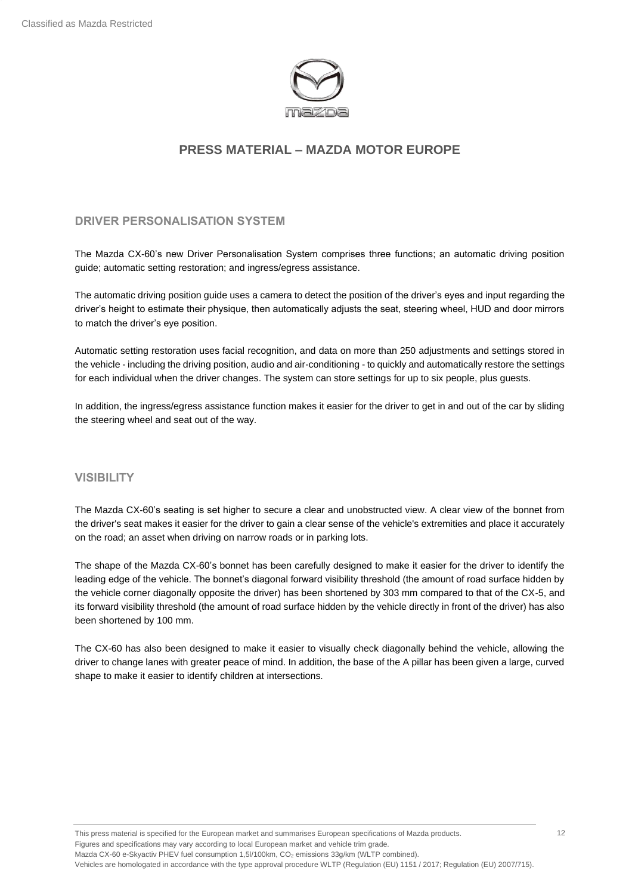

#### **DRIVER PERSONALISATION SYSTEM**

The Mazda CX-60's new Driver Personalisation System comprises three functions; an automatic driving position guide; automatic setting restoration; and ingress/egress assistance.

The automatic driving position guide uses a camera to detect the position of the driver's eyes and input regarding the driver's height to estimate their physique, then automatically adjusts the seat, steering wheel, HUD and door mirrors to match the driver's eye position.

Automatic setting restoration uses facial recognition, and data on more than 250 adjustments and settings stored in the vehicle - including the driving position, audio and air-conditioning - to quickly and automatically restore the settings for each individual when the driver changes. The system can store settings for up to six people, plus guests.

In addition, the ingress/egress assistance function makes it easier for the driver to get in and out of the car by sliding the steering wheel and seat out of the way.

#### **VISIBILITY**

The Mazda CX-60's seating is set higher to secure a clear and unobstructed view. A clear view of the bonnet from the driver's seat makes it easier for the driver to gain a clear sense of the vehicle's extremities and place it accurately on the road; an asset when driving on narrow roads or in parking lots.

The shape of the Mazda CX-60's bonnet has been carefully designed to make it easier for the driver to identify the leading edge of the vehicle. The bonnet's diagonal forward visibility threshold (the amount of road surface hidden by the vehicle corner diagonally opposite the driver) has been shortened by 303 mm compared to that of the CX-5, and its forward visibility threshold (the amount of road surface hidden by the vehicle directly in front of the driver) has also been shortened by 100 mm.

The CX-60 has also been designed to make it easier to visually check diagonally behind the vehicle, allowing the driver to change lanes with greater peace of mind. In addition, the base of the A pillar has been given a large, curved shape to make it easier to identify children at intersections.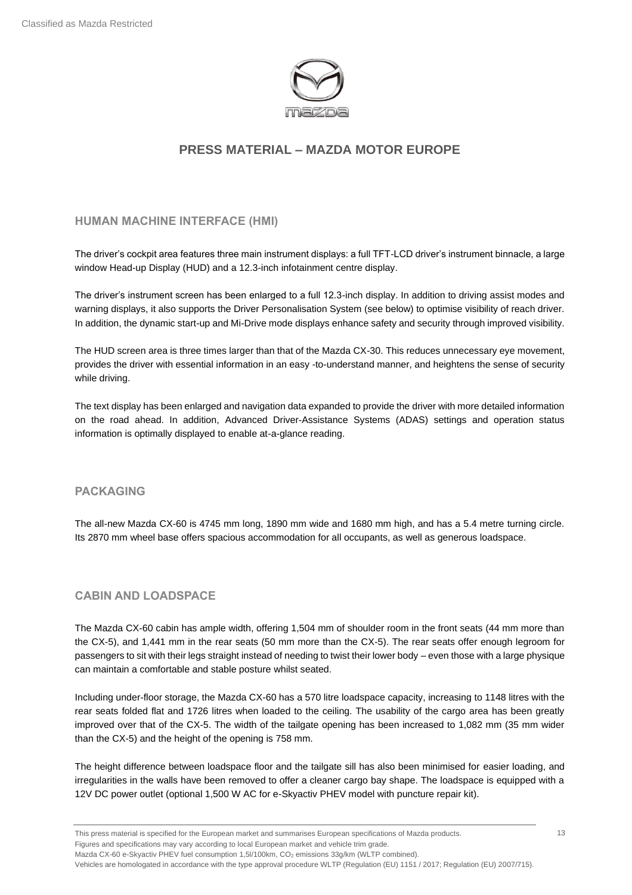

**HUMAN MACHINE INTERFACE (HMI)**

The driver's cockpit area features three main instrument displays: a full TFT-LCD driver's instrument binnacle, a large window Head-up Display (HUD) and a 12.3-inch infotainment centre display.

The driver's instrument screen has been enlarged to a full 12.3-inch display. In addition to driving assist modes and warning displays, it also supports the Driver Personalisation System (see below) to optimise visibility of reach driver. In addition, the dynamic start-up and Mi-Drive mode displays enhance safety and security through improved visibility.

The HUD screen area is three times larger than that of the Mazda CX-30. This reduces unnecessary eye movement, provides the driver with essential information in an easy -to-understand manner, and heightens the sense of security while driving.

The text display has been enlarged and navigation data expanded to provide the driver with more detailed information on the road ahead. In addition, Advanced Driver-Assistance Systems (ADAS) settings and operation status information is optimally displayed to enable at-a-glance reading.

#### **PACKAGING**

The all-new Mazda CX-60 is 4745 mm long, 1890 mm wide and 1680 mm high, and has a 5.4 metre turning circle. Its 2870 mm wheel base offers spacious accommodation for all occupants, as well as generous loadspace.

#### **CABIN AND LOADSPACE**

The Mazda CX-60 cabin has ample width, offering 1,504 mm of shoulder room in the front seats (44 mm more than the CX-5), and 1,441 mm in the rear seats (50 mm more than the CX-5). The rear seats offer enough legroom for passengers to sit with their legs straight instead of needing to twist their lower body – even those with a large physique can maintain a comfortable and stable posture whilst seated.

Including under-floor storage, the Mazda CX-60 has a 570 litre loadspace capacity, increasing to 1148 litres with the rear seats folded flat and 1726 litres when loaded to the ceiling. The usability of the cargo area has been greatly improved over that of the CX-5. The width of the tailgate opening has been increased to 1,082 mm (35 mm wider than the CX-5) and the height of the opening is 758 mm.

The height difference between loadspace floor and the tailgate sill has also been minimised for easier loading, and irregularities in the walls have been removed to offer a cleaner cargo bay shape. The loadspace is equipped with a 12V DC power outlet (optional 1,500 W AC for e-Skyactiv PHEV model with puncture repair kit).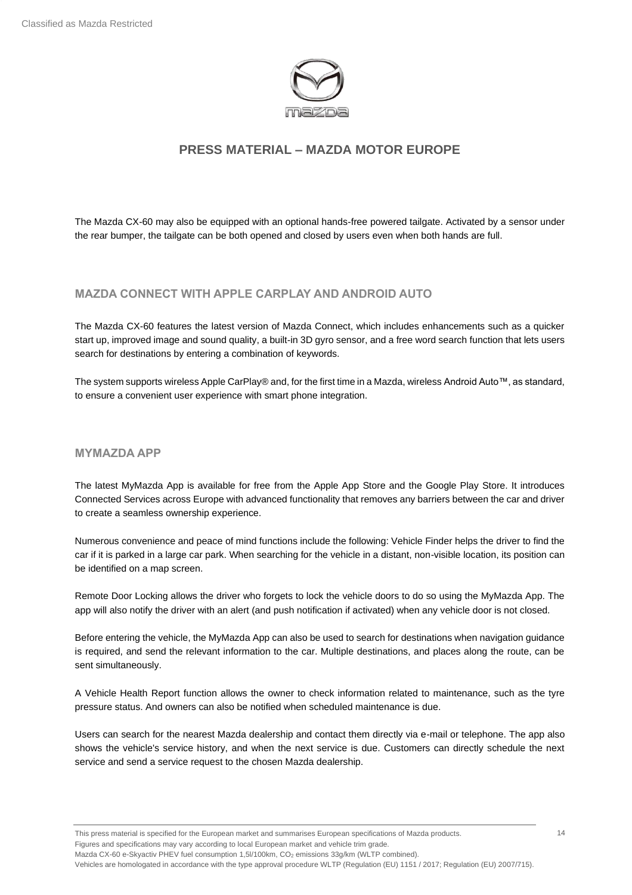

The Mazda CX-60 may also be equipped with an optional hands-free powered tailgate. Activated by a sensor under the rear bumper, the tailgate can be both opened and closed by users even when both hands are full.

### **MAZDA CONNECT WITH APPLE CARPLAY AND ANDROID AUTO**

The Mazda CX-60 features the latest version of Mazda Connect, which includes enhancements such as a quicker start up, improved image and sound quality, a built-in 3D gyro sensor, and a free word search function that lets users search for destinations by entering a combination of keywords.

The system supports wireless Apple CarPlay® and, for the first time in a Mazda, wireless Android Auto™, as standard, to ensure a convenient user experience with smart phone integration.

#### **MYMAZDA APP**

The latest MyMazda App is available for free from the Apple App Store and the Google Play Store. It introduces Connected Services across Europe with advanced functionality that removes any barriers between the car and driver to create a seamless ownership experience.

Numerous convenience and peace of mind functions include the following: Vehicle Finder helps the driver to find the car if it is parked in a large car park. When searching for the vehicle in a distant, non-visible location, its position can be identified on a map screen.

Remote Door Locking allows the driver who forgets to lock the vehicle doors to do so using the MyMazda App. The app will also notify the driver with an alert (and push notification if activated) when any vehicle door is not closed.

Before entering the vehicle, the MyMazda App can also be used to search for destinations when navigation guidance is required, and send the relevant information to the car. Multiple destinations, and places along the route, can be sent simultaneously.

A Vehicle Health Report function allows the owner to check information related to maintenance, such as the tyre pressure status. And owners can also be notified when scheduled maintenance is due.

Users can search for the nearest Mazda dealership and contact them directly via e-mail or telephone. The app also shows the vehicle's service history, and when the next service is due. Customers can directly schedule the next service and send a service request to the chosen Mazda dealership.

Mazda CX-60 e-Skyactiv PHEV fuel consumption 1,5l/100km, CO<sub>2</sub> emissions 33g/km (WLTP combined).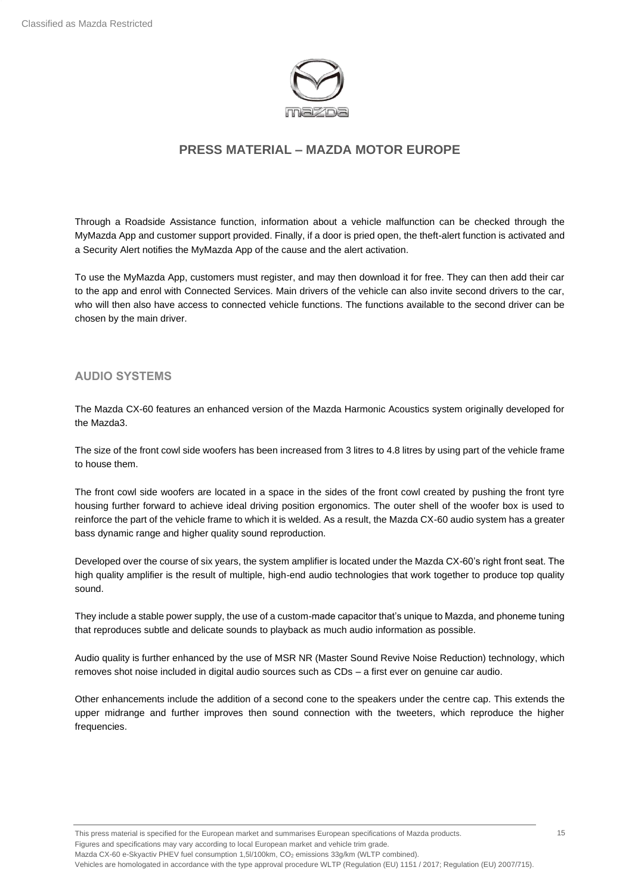

Through a Roadside Assistance function, information about a vehicle malfunction can be checked through the MyMazda App and customer support provided. Finally, if a door is pried open, the theft-alert function is activated and a Security Alert notifies the MyMazda App of the cause and the alert activation.

To use the MyMazda App, customers must register, and may then download it for free. They can then add their car to the app and enrol with Connected Services. Main drivers of the vehicle can also invite second drivers to the car, who will then also have access to connected vehicle functions. The functions available to the second driver can be chosen by the main driver.

#### **AUDIO SYSTEMS**

The Mazda CX-60 features an enhanced version of the Mazda Harmonic Acoustics system originally developed for the Mazda3.

The size of the front cowl side woofers has been increased from 3 litres to 4.8 litres by using part of the vehicle frame to house them.

The front cowl side woofers are located in a space in the sides of the front cowl created by pushing the front tyre housing further forward to achieve ideal driving position ergonomics. The outer shell of the woofer box is used to reinforce the part of the vehicle frame to which it is welded. As a result, the Mazda CX-60 audio system has a greater bass dynamic range and higher quality sound reproduction.

Developed over the course of six years, the system amplifier is located under the Mazda CX-60's right front seat. The high quality amplifier is the result of multiple, high-end audio technologies that work together to produce top quality sound.

They include a stable power supply, the use of a custom-made capacitor that's unique to Mazda, and phoneme tuning that reproduces subtle and delicate sounds to playback as much audio information as possible.

Audio quality is further enhanced by the use of MSR NR (Master Sound Revive Noise Reduction) technology, which removes shot noise included in digital audio sources such as CDs – a first ever on genuine car audio.

Other enhancements include the addition of a second cone to the speakers under the centre cap. This extends the upper midrange and further improves then sound connection with the tweeters, which reproduce the higher frequencies.

This press material is specified for the European market and summarises European specifications of Mazda products. Figures and specifications may vary according to local European market and vehicle trim grade. Mazda CX-60 e-Skyactiv PHEV fuel consumption 1,5l/100km, CO<sub>2</sub> emissions 33g/km (WLTP combined). Vehicles are homologated in accordance with the type approval procedure WLTP (Regulation (EU) 1151 / 2017; Regulation (EU) 2007/715). 15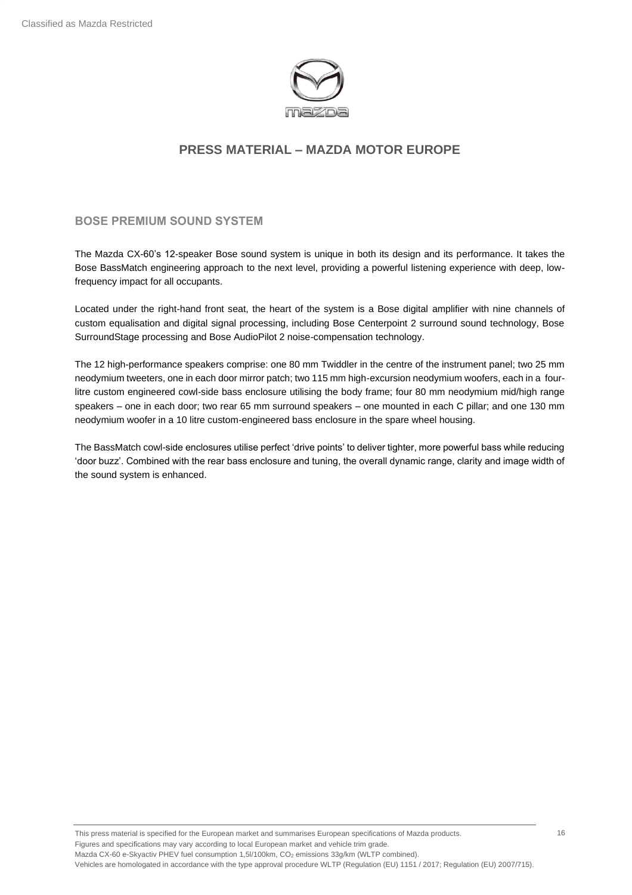

**BOSE PREMIUM SOUND SYSTEM**

The Mazda CX-60's 12-speaker Bose sound system is unique in both its design and its performance. It takes the Bose BassMatch engineering approach to the next level, providing a powerful listening experience with deep, lowfrequency impact for all occupants.

Located under the right-hand front seat, the heart of the system is a Bose digital amplifier with nine channels of custom equalisation and digital signal processing, including Bose Centerpoint 2 surround sound technology, Bose SurroundStage processing and Bose AudioPilot 2 noise-compensation technology.

The 12 high-performance speakers comprise: one 80 mm Twiddler in the centre of the instrument panel; two 25 mm neodymium tweeters, one in each door mirror patch; two 115 mm high-excursion neodymium woofers, each in a fourlitre custom engineered cowl-side bass enclosure utilising the body frame; four 80 mm neodymium mid/high range speakers – one in each door; two rear 65 mm surround speakers – one mounted in each C pillar; and one 130 mm neodymium woofer in a 10 litre custom-engineered bass enclosure in the spare wheel housing.

The BassMatch cowl-side enclosures utilise perfect 'drive points' to deliver tighter, more powerful bass while reducing 'door buzz'. Combined with the rear bass enclosure and tuning, the overall dynamic range, clarity and image width of the sound system is enhanced.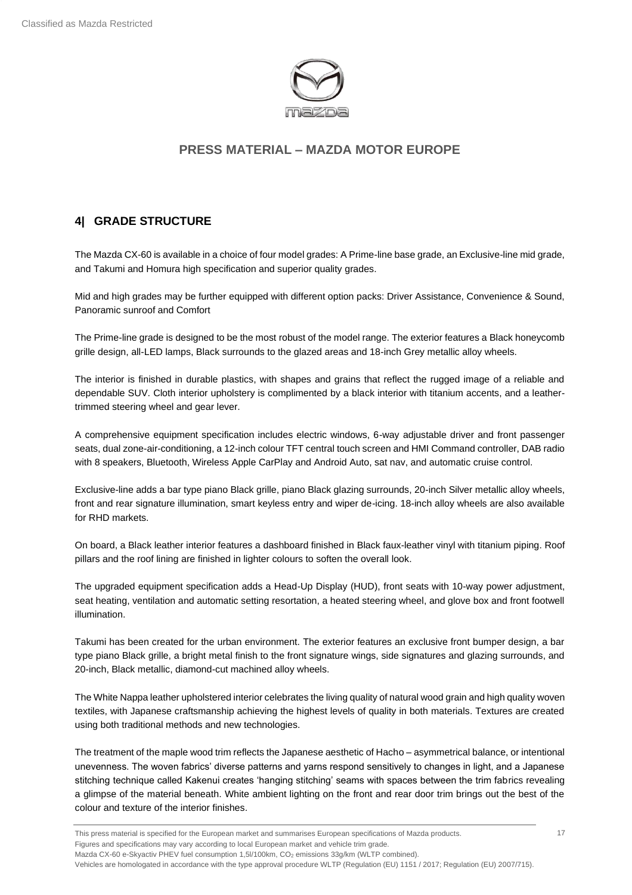

## <span id="page-16-0"></span>**4| GRADE STRUCTURE**

The Mazda CX-60 is available in a choice of four model grades: A Prime-line base grade, an Exclusive-line mid grade, and Takumi and Homura high specification and superior quality grades.

Mid and high grades may be further equipped with different option packs: Driver Assistance, Convenience & Sound, Panoramic sunroof and Comfort

The Prime-line grade is designed to be the most robust of the model range. The exterior features a Black honeycomb grille design, all-LED lamps, Black surrounds to the glazed areas and 18-inch Grey metallic alloy wheels.

The interior is finished in durable plastics, with shapes and grains that reflect the rugged image of a reliable and dependable SUV. Cloth interior upholstery is complimented by a black interior with titanium accents, and a leathertrimmed steering wheel and gear lever.

A comprehensive equipment specification includes electric windows, 6-way adjustable driver and front passenger seats, dual zone-air-conditioning, a 12-inch colour TFT central touch screen and HMI Command controller, DAB radio with 8 speakers, Bluetooth, Wireless Apple CarPlay and Android Auto, sat nav, and automatic cruise control.

Exclusive-line adds a bar type piano Black grille, piano Black glazing surrounds, 20-inch Silver metallic alloy wheels, front and rear signature illumination, smart keyless entry and wiper de-icing. 18-inch alloy wheels are also available for RHD markets.

On board, a Black leather interior features a dashboard finished in Black faux-leather vinyl with titanium piping. Roof pillars and the roof lining are finished in lighter colours to soften the overall look.

The upgraded equipment specification adds a Head-Up Display (HUD), front seats with 10-way power adjustment, seat heating, ventilation and automatic setting resortation, a heated steering wheel, and glove box and front footwell illumination.

Takumi has been created for the urban environment. The exterior features an exclusive front bumper design, a bar type piano Black grille, a bright metal finish to the front signature wings, side signatures and glazing surrounds, and 20-inch, Black metallic, diamond-cut machined alloy wheels.

The White Nappa leather upholstered interior celebrates the living quality of natural wood grain and high quality woven textiles, with Japanese craftsmanship achieving the highest levels of quality in both materials. Textures are created using both traditional methods and new technologies.

The treatment of the maple wood trim reflects the Japanese aesthetic of Hacho – asymmetrical balance, or intentional unevenness. The woven fabrics' diverse patterns and yarns respond sensitively to changes in light, and a Japanese stitching technique called Kakenui creates 'hanging stitching' seams with spaces between the trim fabrics revealing a glimpse of the material beneath. White ambient lighting on the front and rear door trim brings out the best of the colour and texture of the interior finishes.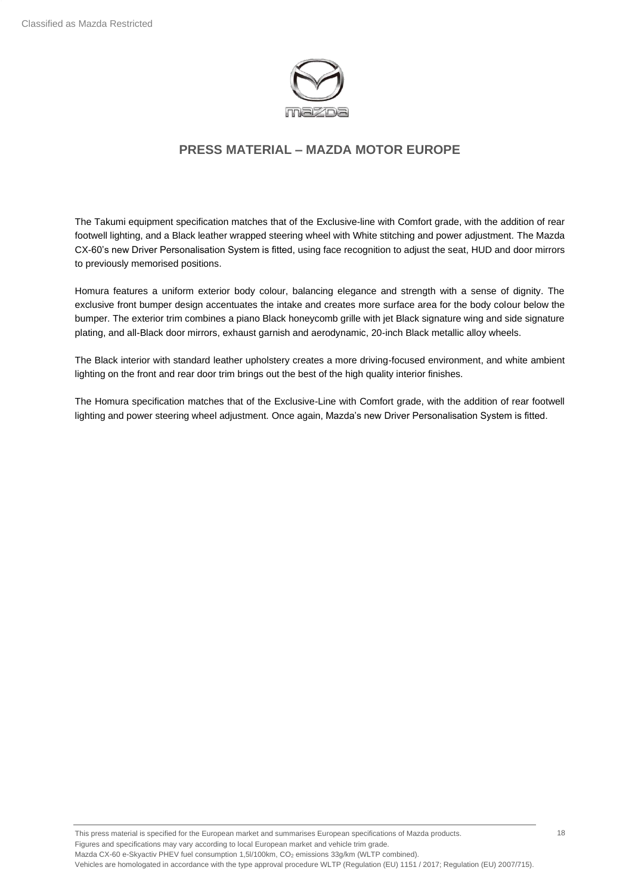

The Takumi equipment specification matches that of the Exclusive-line with Comfort grade, with the addition of rear footwell lighting, and a Black leather wrapped steering wheel with White stitching and power adjustment. The Mazda CX-60's new Driver Personalisation System is fitted, using face recognition to adjust the seat, HUD and door mirrors to previously memorised positions.

Homura features a uniform exterior body colour, balancing elegance and strength with a sense of dignity. The exclusive front bumper design accentuates the intake and creates more surface area for the body colour below the bumper. The exterior trim combines a piano Black honeycomb grille with jet Black signature wing and side signature plating, and all-Black door mirrors, exhaust garnish and aerodynamic, 20-inch Black metallic alloy wheels.

The Black interior with standard leather upholstery creates a more driving-focused environment, and white ambient lighting on the front and rear door trim brings out the best of the high quality interior finishes.

The Homura specification matches that of the Exclusive-Line with Comfort grade, with the addition of rear footwell lighting and power steering wheel adjustment. Once again, Mazda's new Driver Personalisation System is fitted.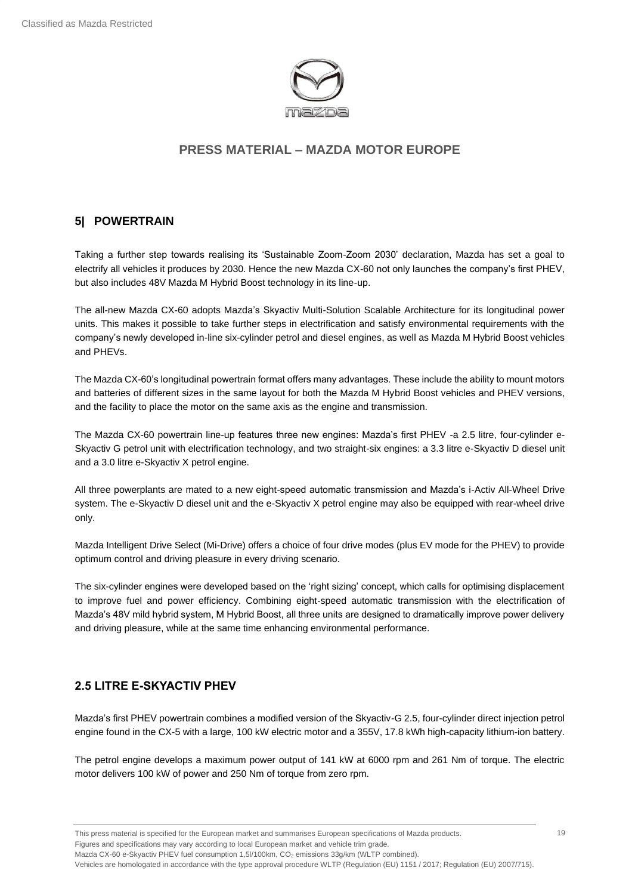

## <span id="page-18-0"></span>**5| POWERTRAIN**

Taking a further step towards realising its 'Sustainable Zoom-Zoom 2030' declaration, Mazda has set a goal to electrify all vehicles it produces by 2030. Hence the new Mazda CX-60 not only launches the company's first PHEV, but also includes 48V Mazda M Hybrid Boost technology in its line-up.

The all-new Mazda CX-60 adopts Mazda's Skyactiv Multi-Solution Scalable Architecture for its longitudinal power units. This makes it possible to take further steps in electrification and satisfy environmental requirements with the company's newly developed in-line six-cylinder petrol and diesel engines, as well as Mazda M Hybrid Boost vehicles and PHEVs.

The Mazda CX-60's longitudinal powertrain format offers many advantages. These include the ability to mount motors and batteries of different sizes in the same layout for both the Mazda M Hybrid Boost vehicles and PHEV versions, and the facility to place the motor on the same axis as the engine and transmission.

The Mazda CX-60 powertrain line-up features three new engines: Mazda's first PHEV -a 2.5 litre, four-cylinder e-Skyactiv G petrol unit with electrification technology, and two straight-six engines: a 3.3 litre e-Skyactiv D diesel unit and a 3.0 litre e-Skyactiv X petrol engine.

All three powerplants are mated to a new eight-speed automatic transmission and Mazda's i-Activ All-Wheel Drive system. The e-Skyactiv D diesel unit and the e-Skyactiv X petrol engine may also be equipped with rear-wheel drive only.

Mazda Intelligent Drive Select (Mi-Drive) offers a choice of four drive modes (plus EV mode for the PHEV) to provide optimum control and driving pleasure in every driving scenario.

The six-cylinder engines were developed based on the 'right sizing' concept, which calls for optimising displacement to improve fuel and power efficiency. Combining eight-speed automatic transmission with the electrification of Mazda's 48V mild hybrid system, M Hybrid Boost, all three units are designed to dramatically improve power delivery and driving pleasure, while at the same time enhancing environmental performance.

## **2.5 LITRE E-SKYACTIV PHEV**

Mazda's first PHEV powertrain combines a modified version of the Skyactiv-G 2.5, four-cylinder direct injection petrol engine found in the CX-5 with a large, 100 kW electric motor and a 355V, 17.8 kWh high-capacity lithium-ion battery.

The petrol engine develops a maximum power output of 141 kW at 6000 rpm and 261 Nm of torque. The electric motor delivers 100 kW of power and 250 Nm of torque from zero rpm.

Mazda CX-60 e-Skyactiv PHEV fuel consumption 1,5l/100km, CO<sub>2</sub> emissions 33g/km (WLTP combined).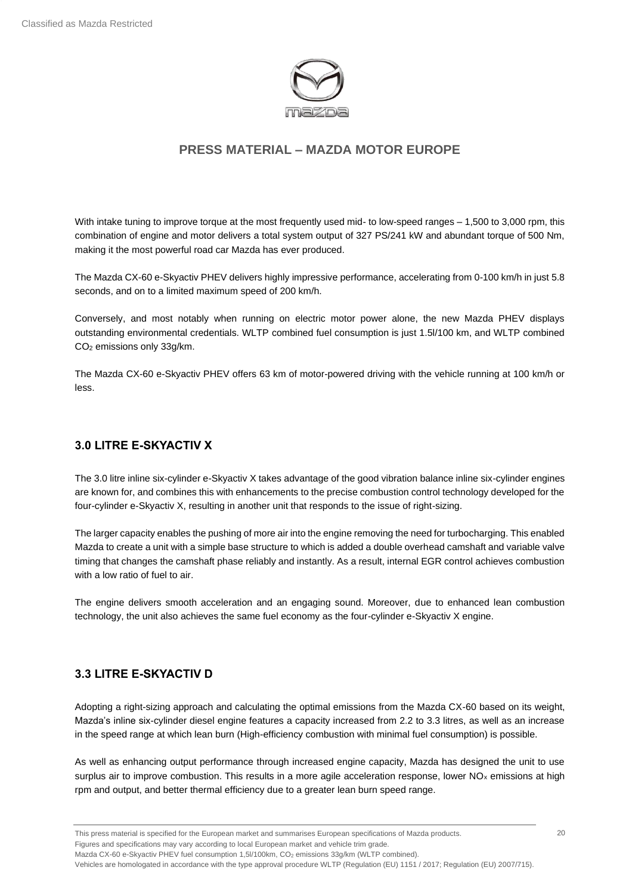

With intake tuning to improve torque at the most frequently used mid- to low-speed ranges – 1,500 to 3,000 rpm, this combination of engine and motor delivers a total system output of 327 PS/241 kW and abundant torque of 500 Nm, making it the most powerful road car Mazda has ever produced.

The Mazda CX-60 e-Skyactiv PHEV delivers highly impressive performance, accelerating from 0-100 km/h in just 5.8 seconds, and on to a limited maximum speed of 200 km/h.

Conversely, and most notably when running on electric motor power alone, the new Mazda PHEV displays outstanding environmental credentials. WLTP combined fuel consumption is just 1.5l/100 km, and WLTP combined CO<sup>2</sup> emissions only 33g/km.

The Mazda CX-60 e-Skyactiv PHEV offers 63 km of motor-powered driving with the vehicle running at 100 km/h or less.

## **3.0 LITRE E-SKYACTIV X**

The 3.0 litre inline six-cylinder e-Skyactiv X takes advantage of the good vibration balance inline six-cylinder engines are known for, and combines this with enhancements to the precise combustion control technology developed for the four-cylinder e-Skyactiv X, resulting in another unit that responds to the issue of right-sizing.

The larger capacity enables the pushing of more air into the engine removing the need for turbocharging. This enabled Mazda to create a unit with a simple base structure to which is added a double overhead camshaft and variable valve timing that changes the camshaft phase reliably and instantly. As a result, internal EGR control achieves combustion with a low ratio of fuel to air.

The engine delivers smooth acceleration and an engaging sound. Moreover, due to enhanced lean combustion technology, the unit also achieves the same fuel economy as the four-cylinder e-Skyactiv X engine.

## **3.3 LITRE E-SKYACTIV D**

Adopting a right-sizing approach and calculating the optimal emissions from the Mazda CX-60 based on its weight, Mazda's inline six-cylinder diesel engine features a capacity increased from 2.2 to 3.3 litres, as well as an increase in the speed range at which lean burn (High-efficiency combustion with minimal fuel consumption) is possible.

As well as enhancing output performance through increased engine capacity, Mazda has designed the unit to use surplus air to improve combustion. This results in a more agile acceleration response, lower  $NO<sub>x</sub>$  emissions at high rpm and output, and better thermal efficiency due to a greater lean burn speed range.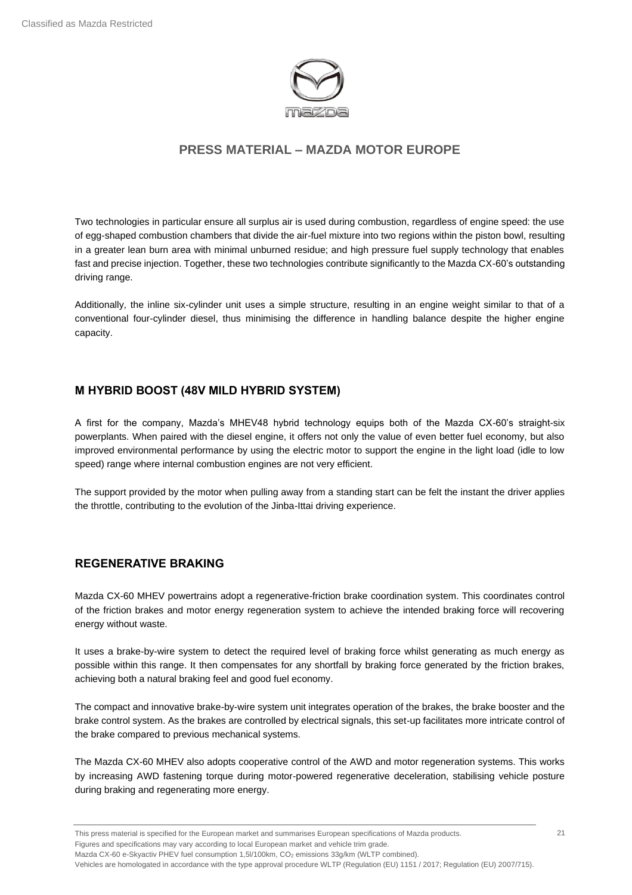

Two technologies in particular ensure all surplus air is used during combustion, regardless of engine speed: the use of egg-shaped combustion chambers that divide the air-fuel mixture into two regions within the piston bowl, resulting in a greater lean burn area with minimal unburned residue; and high pressure fuel supply technology that enables fast and precise injection. Together, these two technologies contribute significantly to the Mazda CX-60's outstanding driving range.

Additionally, the inline six-cylinder unit uses a simple structure, resulting in an engine weight similar to that of a conventional four-cylinder diesel, thus minimising the difference in handling balance despite the higher engine capacity.

#### **M HYBRID BOOST (48V MILD HYBRID SYSTEM)**

A first for the company, Mazda's MHEV48 hybrid technology equips both of the Mazda CX-60's straight-six powerplants. When paired with the diesel engine, it offers not only the value of even better fuel economy, but also improved environmental performance by using the electric motor to support the engine in the light load (idle to low speed) range where internal combustion engines are not very efficient.

The support provided by the motor when pulling away from a standing start can be felt the instant the driver applies the throttle, contributing to the evolution of the Jinba-Ittai driving experience.

#### **REGENERATIVE BRAKING**

Mazda CX-60 MHEV powertrains adopt a regenerative-friction brake coordination system. This coordinates control of the friction brakes and motor energy regeneration system to achieve the intended braking force will recovering energy without waste.

It uses a brake-by-wire system to detect the required level of braking force whilst generating as much energy as possible within this range. It then compensates for any shortfall by braking force generated by the friction brakes, achieving both a natural braking feel and good fuel economy.

The compact and innovative brake-by-wire system unit integrates operation of the brakes, the brake booster and the brake control system. As the brakes are controlled by electrical signals, this set-up facilitates more intricate control of the brake compared to previous mechanical systems.

The Mazda CX-60 MHEV also adopts cooperative control of the AWD and motor regeneration systems. This works by increasing AWD fastening torque during motor-powered regenerative deceleration, stabilising vehicle posture during braking and regenerating more energy.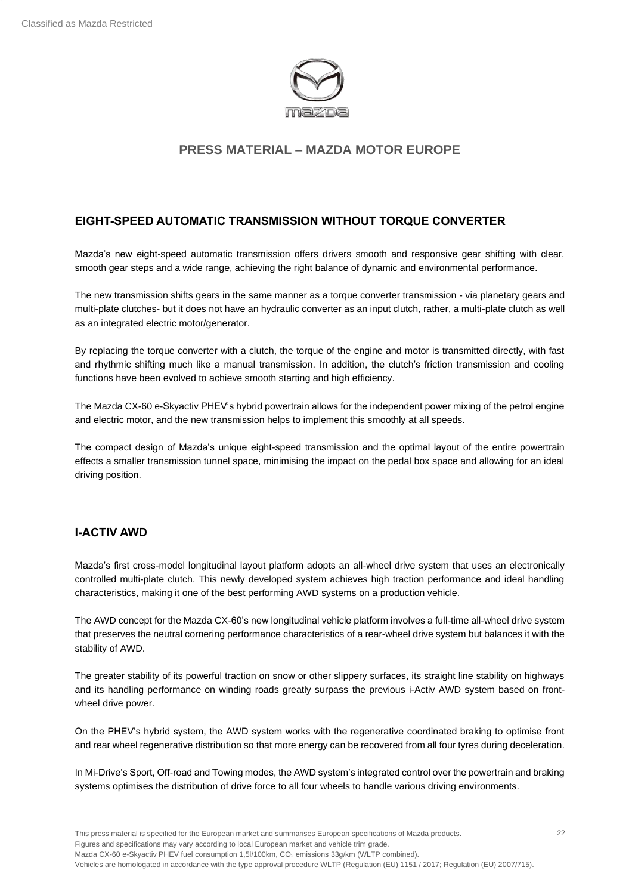

## **EIGHT-SPEED AUTOMATIC TRANSMISSION WITHOUT TORQUE CONVERTER**

Mazda's new eight-speed automatic transmission offers drivers smooth and responsive gear shifting with clear, smooth gear steps and a wide range, achieving the right balance of dynamic and environmental performance.

The new transmission shifts gears in the same manner as a torque converter transmission - via planetary gears and multi-plate clutches- but it does not have an hydraulic converter as an input clutch, rather, a multi-plate clutch as well as an integrated electric motor/generator.

By replacing the torque converter with a clutch, the torque of the engine and motor is transmitted directly, with fast and rhythmic shifting much like a manual transmission. In addition, the clutch's friction transmission and cooling functions have been evolved to achieve smooth starting and high efficiency.

The Mazda CX-60 e-Skyactiv PHEV's hybrid powertrain allows for the independent power mixing of the petrol engine and electric motor, and the new transmission helps to implement this smoothly at all speeds.

The compact design of Mazda's unique eight-speed transmission and the optimal layout of the entire powertrain effects a smaller transmission tunnel space, minimising the impact on the pedal box space and allowing for an ideal driving position.

## **I-ACTIV AWD**

Mazda's first cross-model longitudinal layout platform adopts an all-wheel drive system that uses an electronically controlled multi-plate clutch. This newly developed system achieves high traction performance and ideal handling characteristics, making it one of the best performing AWD systems on a production vehicle.

The AWD concept for the Mazda CX-60's new longitudinal vehicle platform involves a full-time all-wheel drive system that preserves the neutral cornering performance characteristics of a rear-wheel drive system but balances it with the stability of AWD.

The greater stability of its powerful traction on snow or other slippery surfaces, its straight line stability on highways and its handling performance on winding roads greatly surpass the previous i-Activ AWD system based on frontwheel drive power.

On the PHEV's hybrid system, the AWD system works with the regenerative coordinated braking to optimise front and rear wheel regenerative distribution so that more energy can be recovered from all four tyres during deceleration.

In Mi-Drive's Sport, Off-road and Towing modes, the AWD system's integrated control over the powertrain and braking systems optimises the distribution of drive force to all four wheels to handle various driving environments.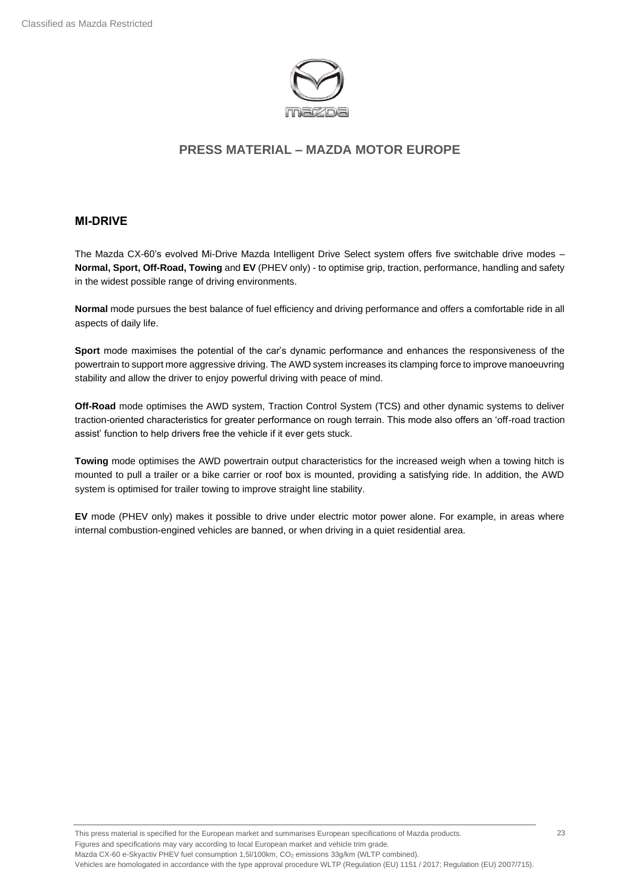

#### **MI-DRIVE**

The Mazda CX-60's evolved Mi-Drive Mazda Intelligent Drive Select system offers five switchable drive modes – **Normal, Sport, Off-Road, Towing** and **EV** (PHEV only) - to optimise grip, traction, performance, handling and safety in the widest possible range of driving environments.

**Normal** mode pursues the best balance of fuel efficiency and driving performance and offers a comfortable ride in all aspects of daily life.

**Sport** mode maximises the potential of the car's dynamic performance and enhances the responsiveness of the powertrain to support more aggressive driving. The AWD system increases its clamping force to improve manoeuvring stability and allow the driver to enjoy powerful driving with peace of mind.

**Off-Road** mode optimises the AWD system, Traction Control System (TCS) and other dynamic systems to deliver traction-oriented characteristics for greater performance on rough terrain. This mode also offers an 'off-road traction assist' function to help drivers free the vehicle if it ever gets stuck.

**Towing** mode optimises the AWD powertrain output characteristics for the increased weigh when a towing hitch is mounted to pull a trailer or a bike carrier or roof box is mounted, providing a satisfying ride. In addition, the AWD system is optimised for trailer towing to improve straight line stability.

**EV** mode (PHEV only) makes it possible to drive under electric motor power alone. For example, in areas where internal combustion-engined vehicles are banned, or when driving in a quiet residential area.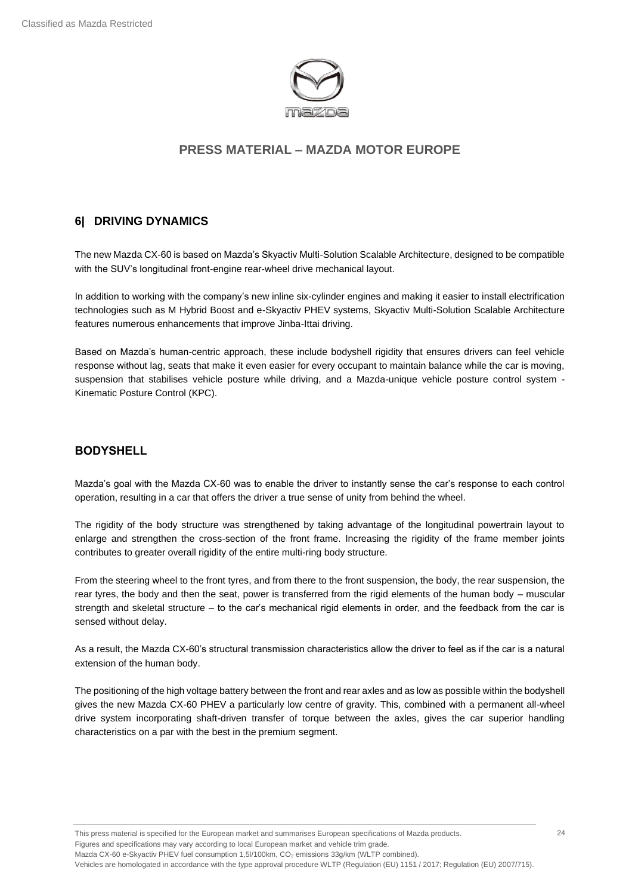

## <span id="page-23-0"></span>**6| DRIVING DYNAMICS**

The new Mazda CX-60 is based on Mazda's Skyactiv Multi-Solution Scalable Architecture, designed to be compatible with the SUV's longitudinal front-engine rear-wheel drive mechanical layout.

In addition to working with the company's new inline six-cylinder engines and making it easier to install electrification technologies such as M Hybrid Boost and e-Skyactiv PHEV systems, Skyactiv Multi-Solution Scalable Architecture features numerous enhancements that improve Jinba-Ittai driving.

Based on Mazda's human-centric approach, these include bodyshell rigidity that ensures drivers can feel vehicle response without lag, seats that make it even easier for every occupant to maintain balance while the car is moving, suspension that stabilises vehicle posture while driving, and a Mazda-unique vehicle posture control system - Kinematic Posture Control (KPC).

#### **BODYSHELL**

Mazda's goal with the Mazda CX-60 was to enable the driver to instantly sense the car's response to each control operation, resulting in a car that offers the driver a true sense of unity from behind the wheel.

The rigidity of the body structure was strengthened by taking advantage of the longitudinal powertrain layout to enlarge and strengthen the cross-section of the front frame. Increasing the rigidity of the frame member joints contributes to greater overall rigidity of the entire multi-ring body structure.

From the steering wheel to the front tyres, and from there to the front suspension, the body, the rear suspension, the rear tyres, the body and then the seat, power is transferred from the rigid elements of the human body – muscular strength and skeletal structure – to the car's mechanical rigid elements in order, and the feedback from the car is sensed without delay.

As a result, the Mazda CX-60's structural transmission characteristics allow the driver to feel as if the car is a natural extension of the human body.

The positioning of the high voltage battery between the front and rear axles and as low as possible within the bodyshell gives the new Mazda CX-60 PHEV a particularly low centre of gravity. This, combined with a permanent all-wheel drive system incorporating shaft-driven transfer of torque between the axles, gives the car superior handling characteristics on a par with the best in the premium segment.

This press material is specified for the European market and summarises European specifications of Mazda products. Figures and specifications may vary according to local European market and vehicle trim grade. Mazda CX-60 e-Skyactiv PHEV fuel consumption 1,5l/100km, CO<sub>2</sub> emissions 33g/km (WLTP combined). Vehicles are homologated in accordance with the type approval procedure WLTP (Regulation (EU) 1151 / 2017; Regulation (EU) 2007/715). 24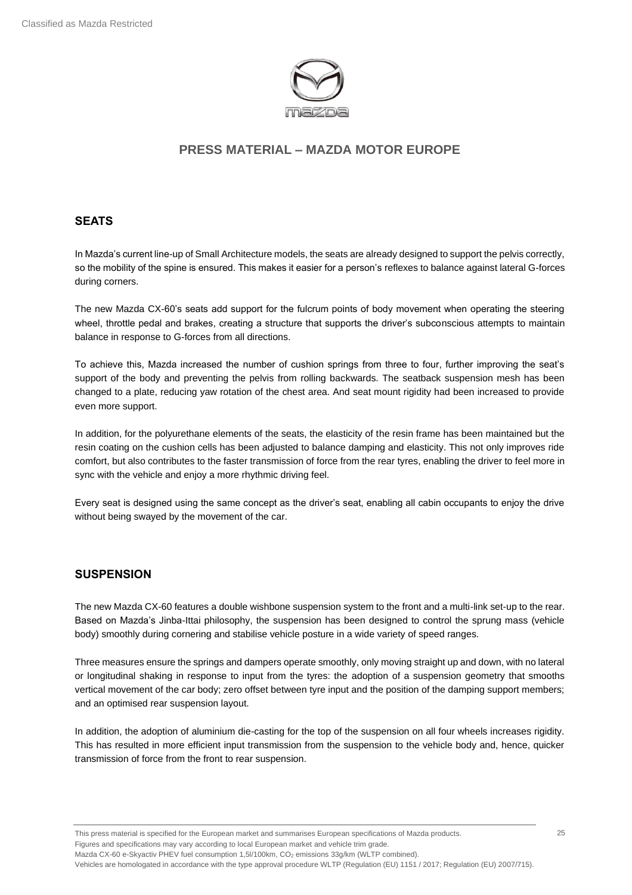

### **SEATS**

In Mazda's current line-up of Small Architecture models, the seats are already designed to support the pelvis correctly, so the mobility of the spine is ensured. This makes it easier for a person's reflexes to balance against lateral G-forces during corners.

The new Mazda CX-60's seats add support for the fulcrum points of body movement when operating the steering wheel, throttle pedal and brakes, creating a structure that supports the driver's subconscious attempts to maintain balance in response to G-forces from all directions.

To achieve this, Mazda increased the number of cushion springs from three to four, further improving the seat's support of the body and preventing the pelvis from rolling backwards. The seatback suspension mesh has been changed to a plate, reducing yaw rotation of the chest area. And seat mount rigidity had been increased to provide even more support.

In addition, for the polyurethane elements of the seats, the elasticity of the resin frame has been maintained but the resin coating on the cushion cells has been adjusted to balance damping and elasticity. This not only improves ride comfort, but also contributes to the faster transmission of force from the rear tyres, enabling the driver to feel more in sync with the vehicle and enjoy a more rhythmic driving feel.

Every seat is designed using the same concept as the driver's seat, enabling all cabin occupants to enjoy the drive without being swayed by the movement of the car.

## **SUSPENSION**

The new Mazda CX-60 features a double wishbone suspension system to the front and a multi-link set-up to the rear. Based on Mazda's Jinba-Ittai philosophy, the suspension has been designed to control the sprung mass (vehicle body) smoothly during cornering and stabilise vehicle posture in a wide variety of speed ranges.

Three measures ensure the springs and dampers operate smoothly, only moving straight up and down, with no lateral or longitudinal shaking in response to input from the tyres: the adoption of a suspension geometry that smooths vertical movement of the car body; zero offset between tyre input and the position of the damping support members; and an optimised rear suspension layout.

In addition, the adoption of aluminium die-casting for the top of the suspension on all four wheels increases rigidity. This has resulted in more efficient input transmission from the suspension to the vehicle body and, hence, quicker transmission of force from the front to rear suspension.

This press material is specified for the European market and summarises European specifications of Mazda products. Figures and specifications may vary according to local European market and vehicle trim grade. Mazda CX-60 e-Skyactiv PHEV fuel consumption 1,5l/100km, CO<sub>2</sub> emissions 33g/km (WLTP combined).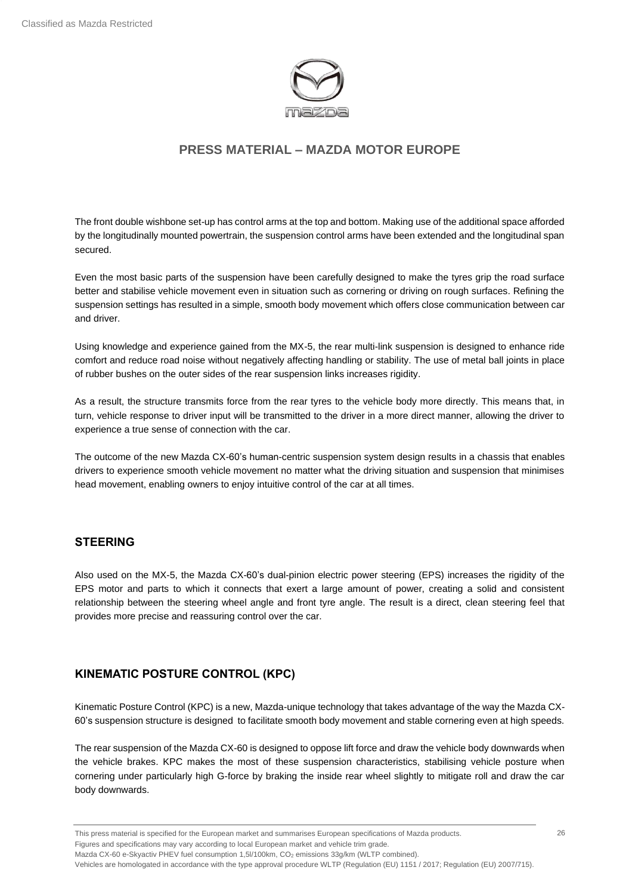

The front double wishbone set-up has control arms at the top and bottom. Making use of the additional space afforded by the longitudinally mounted powertrain, the suspension control arms have been extended and the longitudinal span secured.

Even the most basic parts of the suspension have been carefully designed to make the tyres grip the road surface better and stabilise vehicle movement even in situation such as cornering or driving on rough surfaces. Refining the suspension settings has resulted in a simple, smooth body movement which offers close communication between car and driver.

Using knowledge and experience gained from the MX-5, the rear multi-link suspension is designed to enhance ride comfort and reduce road noise without negatively affecting handling or stability. The use of metal ball joints in place of rubber bushes on the outer sides of the rear suspension links increases rigidity.

As a result, the structure transmits force from the rear tyres to the vehicle body more directly. This means that, in turn, vehicle response to driver input will be transmitted to the driver in a more direct manner, allowing the driver to experience a true sense of connection with the car.

The outcome of the new Mazda CX-60's human-centric suspension system design results in a chassis that enables drivers to experience smooth vehicle movement no matter what the driving situation and suspension that minimises head movement, enabling owners to enjoy intuitive control of the car at all times.

#### **STEERING**

Also used on the MX-5, the Mazda CX-60's dual-pinion electric power steering (EPS) increases the rigidity of the EPS motor and parts to which it connects that exert a large amount of power, creating a solid and consistent relationship between the steering wheel angle and front tyre angle. The result is a direct, clean steering feel that provides more precise and reassuring control over the car.

#### **KINEMATIC POSTURE CONTROL (KPC)**

Kinematic Posture Control (KPC) is a new, Mazda-unique technology that takes advantage of the way the Mazda CX-60's suspension structure is designed to facilitate smooth body movement and stable cornering even at high speeds.

The rear suspension of the Mazda CX-60 is designed to oppose lift force and draw the vehicle body downwards when the vehicle brakes. KPC makes the most of these suspension characteristics, stabilising vehicle posture when cornering under particularly high G-force by braking the inside rear wheel slightly to mitigate roll and draw the car body downwards.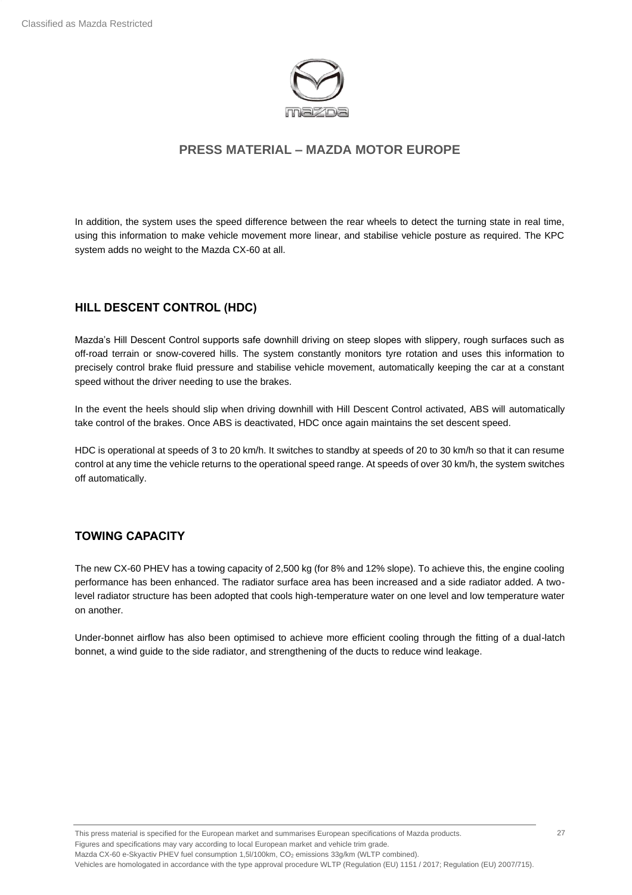

In addition, the system uses the speed difference between the rear wheels to detect the turning state in real time, using this information to make vehicle movement more linear, and stabilise vehicle posture as required. The KPC system adds no weight to the Mazda CX-60 at all.

#### **HILL DESCENT CONTROL (HDC)**

Mazda's Hill Descent Control supports safe downhill driving on steep slopes with slippery, rough surfaces such as off-road terrain or snow-covered hills. The system constantly monitors tyre rotation and uses this information to precisely control brake fluid pressure and stabilise vehicle movement, automatically keeping the car at a constant speed without the driver needing to use the brakes.

In the event the heels should slip when driving downhill with Hill Descent Control activated, ABS will automatically take control of the brakes. Once ABS is deactivated, HDC once again maintains the set descent speed.

HDC is operational at speeds of 3 to 20 km/h. It switches to standby at speeds of 20 to 30 km/h so that it can resume control at any time the vehicle returns to the operational speed range. At speeds of over 30 km/h, the system switches off automatically.

#### **TOWING CAPACITY**

The new CX-60 PHEV has a towing capacity of 2,500 kg (for 8% and 12% slope). To achieve this, the engine cooling performance has been enhanced. The radiator surface area has been increased and a side radiator added. A twolevel radiator structure has been adopted that cools high-temperature water on one level and low temperature water on another.

Under-bonnet airflow has also been optimised to achieve more efficient cooling through the fitting of a dual-latch bonnet, a wind guide to the side radiator, and strengthening of the ducts to reduce wind leakage.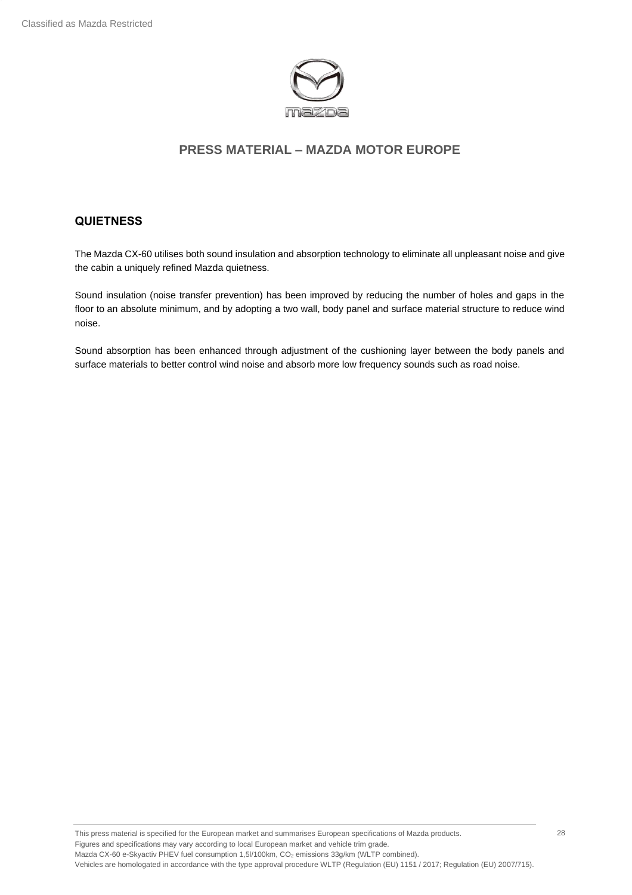

#### **QUIETNESS**

The Mazda CX-60 utilises both sound insulation and absorption technology to eliminate all unpleasant noise and give the cabin a uniquely refined Mazda quietness.

Sound insulation (noise transfer prevention) has been improved by reducing the number of holes and gaps in the floor to an absolute minimum, and by adopting a two wall, body panel and surface material structure to reduce wind noise.

Sound absorption has been enhanced through adjustment of the cushioning layer between the body panels and surface materials to better control wind noise and absorb more low frequency sounds such as road noise.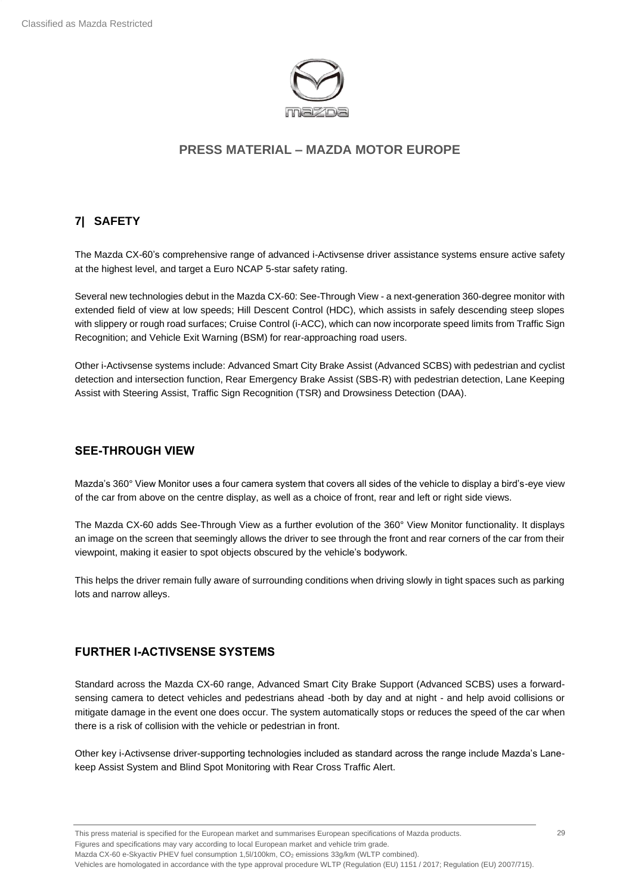

## <span id="page-28-0"></span>**7| SAFETY**

The Mazda CX-60's comprehensive range of advanced i-Activsense driver assistance systems ensure active safety at the highest level, and target a Euro NCAP 5-star safety rating.

Several new technologies debut in the Mazda CX-60: See-Through View - a next-generation 360-degree monitor with extended field of view at low speeds; Hill Descent Control (HDC), which assists in safely descending steep slopes with slippery or rough road surfaces; Cruise Control (i-ACC), which can now incorporate speed limits from Traffic Sign Recognition; and Vehicle Exit Warning (BSM) for rear-approaching road users.

Other i-Activsense systems include: Advanced Smart City Brake Assist (Advanced SCBS) with pedestrian and cyclist detection and intersection function, Rear Emergency Brake Assist (SBS-R) with pedestrian detection, Lane Keeping Assist with Steering Assist, Traffic Sign Recognition (TSR) and Drowsiness Detection (DAA).

#### **SEE-THROUGH VIEW**

Mazda's 360° View Monitor uses a four camera system that covers all sides of the vehicle to display a bird's-eye view of the car from above on the centre display, as well as a choice of front, rear and left or right side views.

The Mazda CX-60 adds See-Through View as a further evolution of the 360° View Monitor functionality. It displays an image on the screen that seemingly allows the driver to see through the front and rear corners of the car from their viewpoint, making it easier to spot objects obscured by the vehicle's bodywork.

This helps the driver remain fully aware of surrounding conditions when driving slowly in tight spaces such as parking lots and narrow alleys.

## **FURTHER I-ACTIVSENSE SYSTEMS**

Standard across the Mazda CX-60 range, Advanced Smart City Brake Support (Advanced SCBS) uses a forwardsensing camera to detect vehicles and pedestrians ahead -both by day and at night - and help avoid collisions or mitigate damage in the event one does occur. The system automatically stops or reduces the speed of the car when there is a risk of collision with the vehicle or pedestrian in front.

Other key i-Activsense driver-supporting technologies included as standard across the range include Mazda's Lanekeep Assist System and Blind Spot Monitoring with Rear Cross Traffic Alert.

Mazda CX-60 e-Skyactiv PHEV fuel consumption 1,5l/100km, CO<sub>2</sub> emissions 33g/km (WLTP combined).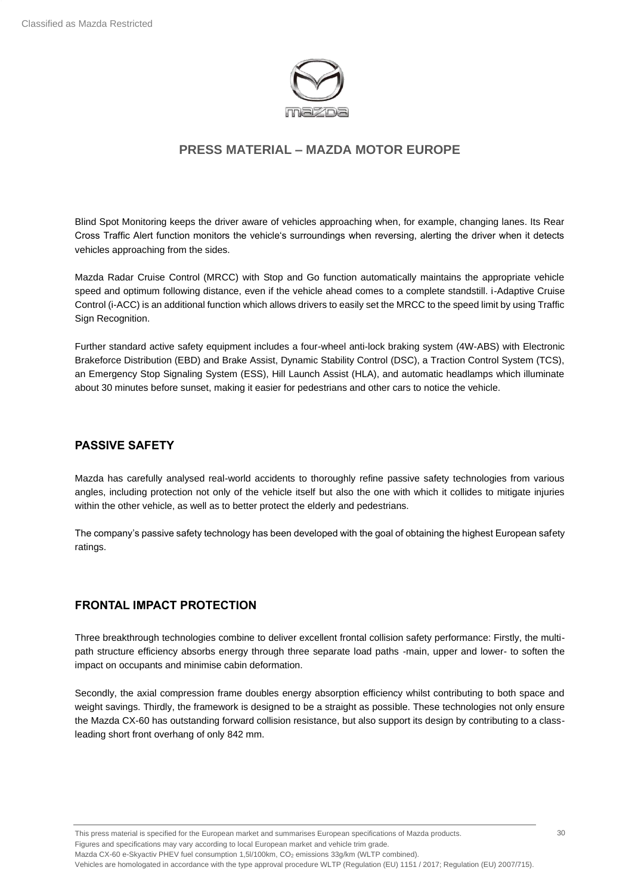

Blind Spot Monitoring keeps the driver aware of vehicles approaching when, for example, changing lanes. Its Rear Cross Traffic Alert function monitors the vehicle's surroundings when reversing, alerting the driver when it detects vehicles approaching from the sides.

Mazda Radar Cruise Control (MRCC) with Stop and Go function automatically maintains the appropriate vehicle speed and optimum following distance, even if the vehicle ahead comes to a complete standstill. i-Adaptive Cruise Control (i-ACC) is an additional function which allows drivers to easily set the MRCC to the speed limit by using Traffic Sign Recognition.

Further standard active safety equipment includes a four-wheel anti-lock braking system (4W-ABS) with Electronic Brakeforce Distribution (EBD) and Brake Assist, Dynamic Stability Control (DSC), a Traction Control System (TCS), an Emergency Stop Signaling System (ESS), Hill Launch Assist (HLA), and automatic headlamps which illuminate about 30 minutes before sunset, making it easier for pedestrians and other cars to notice the vehicle.

#### **PASSIVE SAFETY**

Mazda has carefully analysed real-world accidents to thoroughly refine passive safety technologies from various angles, including protection not only of the vehicle itself but also the one with which it collides to mitigate injuries within the other vehicle, as well as to better protect the elderly and pedestrians.

The company's passive safety technology has been developed with the goal of obtaining the highest European safety ratings.

#### **FRONTAL IMPACT PROTECTION**

Three breakthrough technologies combine to deliver excellent frontal collision safety performance: Firstly, the multipath structure efficiency absorbs energy through three separate load paths -main, upper and lower- to soften the impact on occupants and minimise cabin deformation.

Secondly, the axial compression frame doubles energy absorption efficiency whilst contributing to both space and weight savings. Thirdly, the framework is designed to be a straight as possible. These technologies not only ensure the Mazda CX-60 has outstanding forward collision resistance, but also support its design by contributing to a classleading short front overhang of only 842 mm.

This press material is specified for the European market and summarises European specifications of Mazda products. Figures and specifications may vary according to local European market and vehicle trim grade. Mazda CX-60 e-Skyactiv PHEV fuel consumption 1,5l/100km, CO<sub>2</sub> emissions 33g/km (WLTP combined). Vehicles are homologated in accordance with the type approval procedure WLTP (Regulation (EU) 1151 / 2017; Regulation (EU) 2007/715).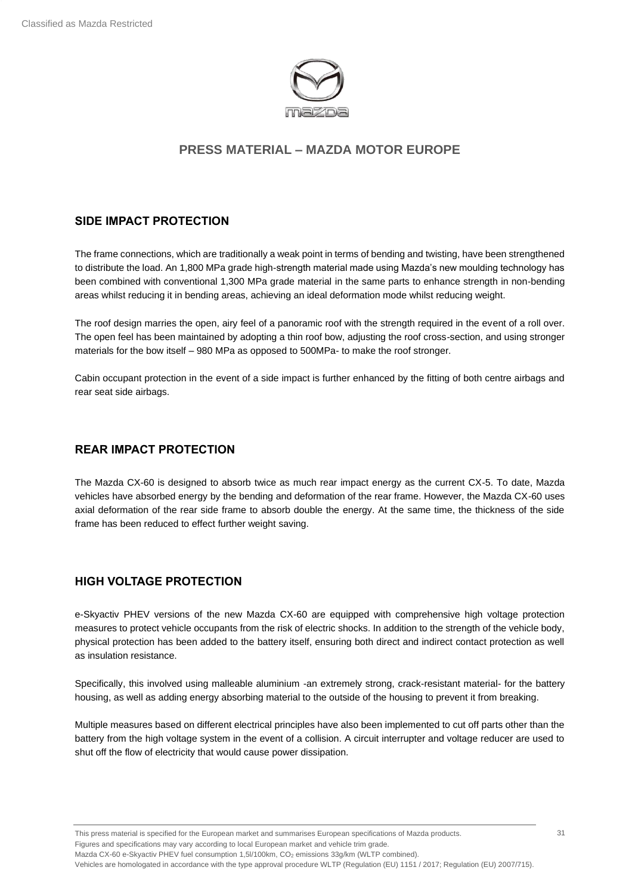

### **SIDE IMPACT PROTECTION**

The frame connections, which are traditionally a weak point in terms of bending and twisting, have been strengthened to distribute the load. An 1,800 MPa grade high-strength material made using Mazda's new moulding technology has been combined with conventional 1,300 MPa grade material in the same parts to enhance strength in non-bending areas whilst reducing it in bending areas, achieving an ideal deformation mode whilst reducing weight.

The roof design marries the open, airy feel of a panoramic roof with the strength required in the event of a roll over. The open feel has been maintained by adopting a thin roof bow, adjusting the roof cross-section, and using stronger materials for the bow itself – 980 MPa as opposed to 500MPa- to make the roof stronger.

Cabin occupant protection in the event of a side impact is further enhanced by the fitting of both centre airbags and rear seat side airbags.

## **REAR IMPACT PROTECTION**

The Mazda CX-60 is designed to absorb twice as much rear impact energy as the current CX-5. To date, Mazda vehicles have absorbed energy by the bending and deformation of the rear frame. However, the Mazda CX-60 uses axial deformation of the rear side frame to absorb double the energy. At the same time, the thickness of the side frame has been reduced to effect further weight saving.

## **HIGH VOLTAGE PROTECTION**

e-Skyactiv PHEV versions of the new Mazda CX-60 are equipped with comprehensive high voltage protection measures to protect vehicle occupants from the risk of electric shocks. In addition to the strength of the vehicle body, physical protection has been added to the battery itself, ensuring both direct and indirect contact protection as well as insulation resistance.

Specifically, this involved using malleable aluminium -an extremely strong, crack-resistant material- for the battery housing, as well as adding energy absorbing material to the outside of the housing to prevent it from breaking.

Multiple measures based on different electrical principles have also been implemented to cut off parts other than the battery from the high voltage system in the event of a collision. A circuit interrupter and voltage reducer are used to shut off the flow of electricity that would cause power dissipation.

This press material is specified for the European market and summarises European specifications of Mazda products. Figures and specifications may vary according to local European market and vehicle trim grade. Mazda CX-60 e-Skyactiv PHEV fuel consumption 1,5l/100km, CO<sub>2</sub> emissions 33g/km (WLTP combined).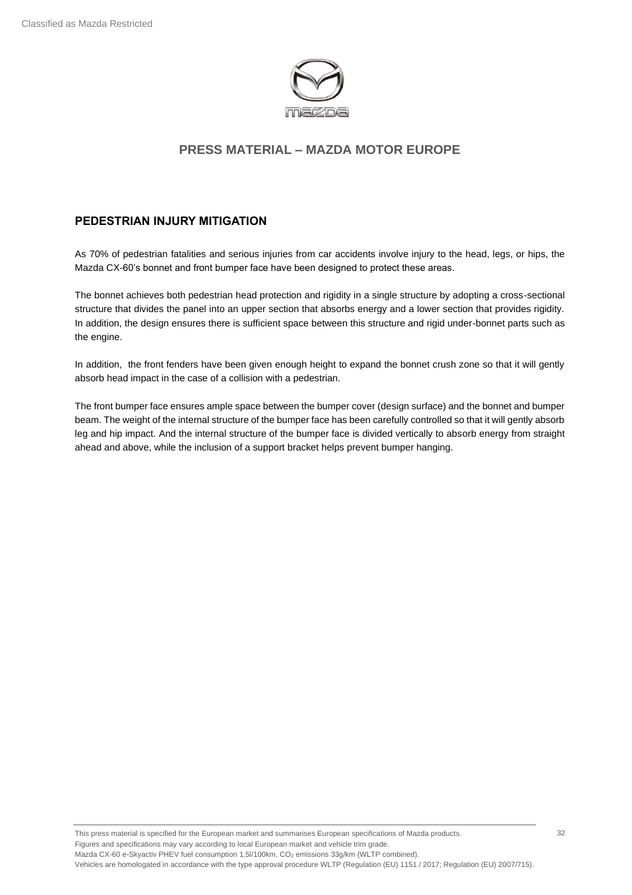

#### **PEDESTRIAN INJURY MITIGATION**

As 70% of pedestrian fatalities and serious injuries from car accidents involve injury to the head, legs, or hips, the Mazda CX-60's bonnet and front bumper face have been designed to protect these areas.

The bonnet achieves both pedestrian head protection and rigidity in a single structure by adopting a cross-sectional structure that divides the panel into an upper section that absorbs energy and a lower section that provides rigidity. In addition, the design ensures there is sufficient space between this structure and rigid under-bonnet parts such as the engine.

In addition, the front fenders have been given enough height to expand the bonnet crush zone so that it will gently absorb head impact in the case of a collision with a pedestrian.

The front bumper face ensures ample space between the bumper cover (design surface) and the bonnet and bumper beam. The weight of the internal structure of the bumper face has been carefully controlled so that it will gently absorb leg and hip impact. And the internal structure of the bumper face is divided vertically to absorb energy from straight ahead and above, while the inclusion of a support bracket helps prevent bumper hanging.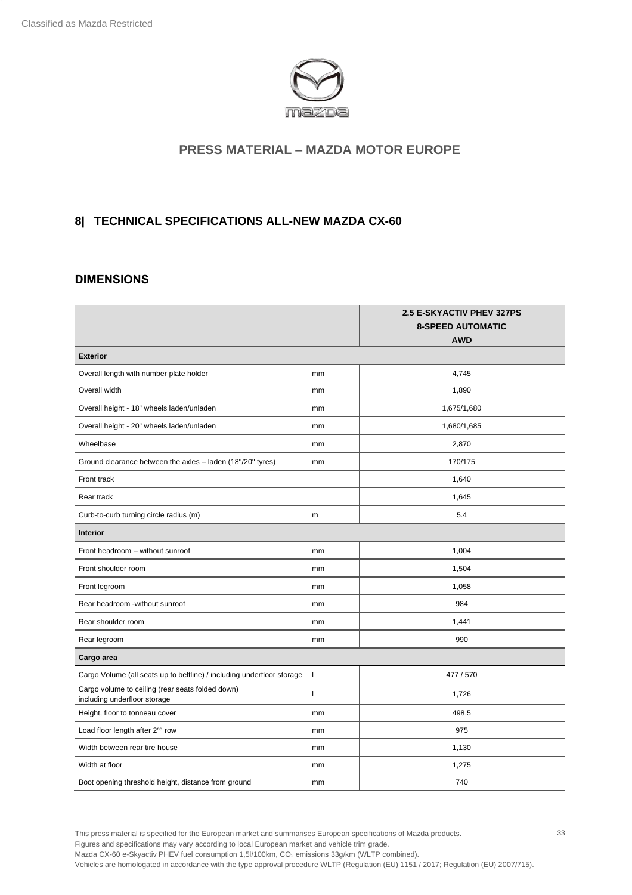

### <span id="page-32-0"></span>**8| TECHNICAL SPECIFICATIONS ALL-NEW MAZDA CX-60**

#### **DIMENSIONS**

|                                                                                  |              | 2.5 E-SKYACTIV PHEV 327PS<br><b>8-SPEED AUTOMATIC</b><br><b>AWD</b> |
|----------------------------------------------------------------------------------|--------------|---------------------------------------------------------------------|
| <b>Exterior</b>                                                                  |              |                                                                     |
| Overall length with number plate holder                                          | mm           | 4,745                                                               |
| Overall width                                                                    | mm           | 1,890                                                               |
| Overall height - 18" wheels laden/unladen                                        | mm           | 1,675/1,680                                                         |
| Overall height - 20" wheels laden/unladen                                        | mm           | 1,680/1,685                                                         |
| Wheelbase                                                                        | mm           | 2,870                                                               |
| Ground clearance between the axles - laden (18"/20" tyres)                       | mm           | 170/175                                                             |
| Front track                                                                      |              | 1,640                                                               |
| Rear track                                                                       |              | 1,645                                                               |
| Curb-to-curb turning circle radius (m)                                           | m            | 5.4                                                                 |
| <b>Interior</b>                                                                  |              |                                                                     |
| Front headroom - without sunroof                                                 | mm           | 1,004                                                               |
| Front shoulder room                                                              | mm           | 1,504                                                               |
| Front legroom                                                                    | mm           | 1,058                                                               |
| Rear headroom -without sunroof                                                   | mm           | 984                                                                 |
| Rear shoulder room                                                               | mm           | 1,441                                                               |
| Rear legroom                                                                     | mm           | 990                                                                 |
| Cargo area                                                                       |              |                                                                     |
| Cargo Volume (all seats up to beltline) / including underfloor storage           | $\mathbf{I}$ | 477 / 570                                                           |
| Cargo volume to ceiling (rear seats folded down)<br>including underfloor storage | ı            | 1,726                                                               |
| Height, floor to tonneau cover                                                   | mm           | 498.5                                                               |
| Load floor length after 2 <sup>nd</sup> row                                      | mm           | 975                                                                 |
| Width between rear tire house                                                    | mm           | 1,130                                                               |
| Width at floor                                                                   | mm           | 1,275                                                               |
| Boot opening threshold height, distance from ground                              | mm           | 740                                                                 |

This press material is specified for the European market and summarises European specifications of Mazda products. Figures and specifications may vary according to local European market and vehicle trim grade.

Mazda CX-60 e-Skyactiv PHEV fuel consumption 1,5l/100km, CO<sub>2</sub> emissions 33g/km (WLTP combined).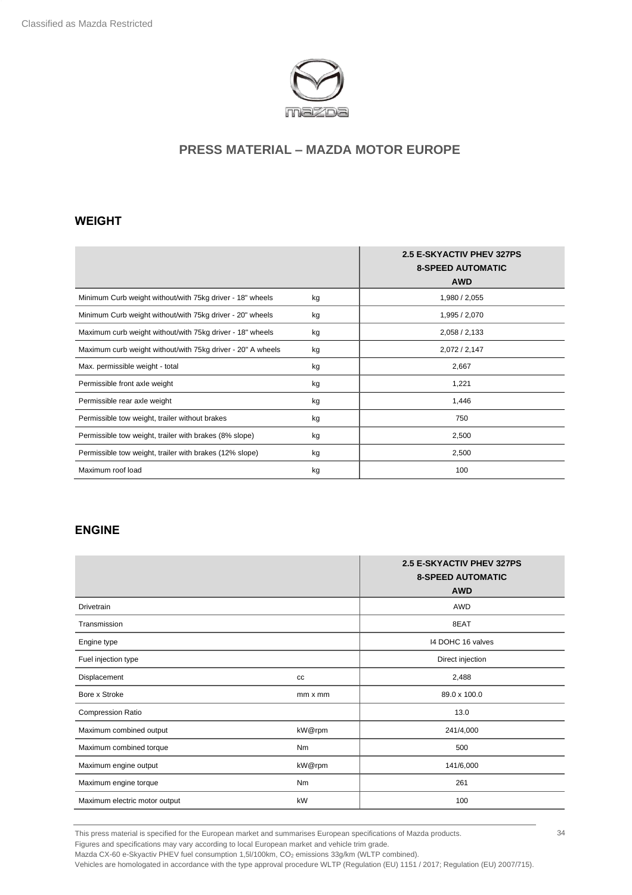

#### **WEIGHT**

|                                                             |    | <b>2.5 E-SKYACTIV PHEV 327PS</b><br><b>8-SPEED AUTOMATIC</b><br><b>AWD</b> |
|-------------------------------------------------------------|----|----------------------------------------------------------------------------|
| Minimum Curb weight without/with 75kg driver - 18" wheels   | kg | 1,980 / 2,055                                                              |
| Minimum Curb weight without/with 75kg driver - 20" wheels   | kg | 1,995 / 2,070                                                              |
| Maximum curb weight without/with 75kg driver - 18" wheels   | kg | 2,058/2,133                                                                |
| Maximum curb weight without/with 75kg driver - 20" A wheels | kg | 2,072/2,147                                                                |
| Max. permissible weight - total                             | kg | 2,667                                                                      |
| Permissible front axle weight                               | kg | 1,221                                                                      |
| Permissible rear axle weight                                | kg | 1,446                                                                      |
| Permissible tow weight, trailer without brakes              | kg | 750                                                                        |
| Permissible tow weight, trailer with brakes (8% slope)      | kg | 2,500                                                                      |
| Permissible tow weight, trailer with brakes (12% slope)     | kg | 2,500                                                                      |
| Maximum roof load                                           | kg | 100                                                                        |

# **ENGINE**

|                               |                | <b>2.5 E-SKYACTIV PHEV 327PS</b><br><b>8-SPEED AUTOMATIC</b><br><b>AWD</b> |
|-------------------------------|----------------|----------------------------------------------------------------------------|
| Drivetrain                    |                | AWD                                                                        |
| Transmission                  |                | 8EAT                                                                       |
| Engine type                   |                | 14 DOHC 16 valves                                                          |
| Fuel injection type           |                | Direct injection                                                           |
| Displacement                  | cc             | 2,488                                                                      |
| Bore x Stroke                 | $mm \times mm$ | 89.0 x 100.0                                                               |
| <b>Compression Ratio</b>      |                | 13.0                                                                       |
| Maximum combined output       | kW@rpm         | 241/4,000                                                                  |
| Maximum combined torque       | Nm             | 500                                                                        |
| Maximum engine output         | kW@rpm         | 141/6,000                                                                  |
| Maximum engine torque         | Nm             | 261                                                                        |
| Maximum electric motor output | kW             | 100                                                                        |

This press material is specified for the European market and summarises European specifications of Mazda products.

Figures and specifications may vary according to local European market and vehicle trim grade.

Mazda CX-60 e-Skyactiv PHEV fuel consumption 1,5l/100km, CO<sub>2</sub> emissions 33g/km (WLTP combined).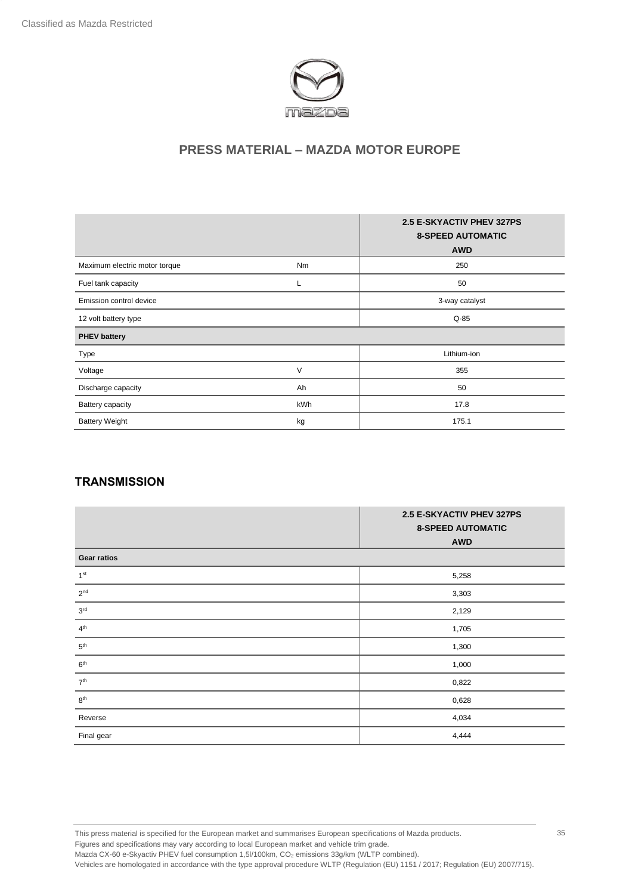

|                               |        | <b>2.5 E-SKYACTIV PHEV 327PS</b><br><b>8-SPEED AUTOMATIC</b><br><b>AWD</b> |
|-------------------------------|--------|----------------------------------------------------------------------------|
| Maximum electric motor torque | Nm     | 250                                                                        |
| Fuel tank capacity            | ┗      | 50                                                                         |
| Emission control device       |        | 3-way catalyst                                                             |
| 12 volt battery type          |        | $Q-85$                                                                     |
| <b>PHEV battery</b>           |        |                                                                            |
| Type                          |        | Lithium-ion                                                                |
| Voltage                       | $\vee$ | 355                                                                        |
| Discharge capacity            | Ah     | 50                                                                         |
| <b>Battery capacity</b>       | kWh    | 17.8                                                                       |
| <b>Battery Weight</b>         | kg     | 175.1                                                                      |

#### **TRANSMISSION**

|                    | 2.5 E-SKYACTIV PHEV 327PS<br><b>8-SPEED AUTOMATIC</b><br><b>AWD</b> |
|--------------------|---------------------------------------------------------------------|
| <b>Gear ratios</b> |                                                                     |
| 1 <sup>st</sup>    | 5,258                                                               |
| 2 <sup>nd</sup>    | 3,303                                                               |
| $3^{\rm rd}$       | 2,129                                                               |
| $4^{\text{th}}$    | 1,705                                                               |
| $5^{\rm th}$       | 1,300                                                               |
| $6^{\rm th}$       | 1,000                                                               |
| $7^{\rm th}$       | 0,822                                                               |
| 8 <sup>th</sup>    | 0,628                                                               |
| Reverse            | 4,034                                                               |
| Final gear         | 4,444                                                               |

This press material is specified for the European market and summarises European specifications of Mazda products. Figures and specifications may vary according to local European market and vehicle trim grade. Mazda CX-60 e-Skyactiv PHEV fuel consumption 1,5l/100km, CO<sub>2</sub> emissions 33g/km (WLTP combined).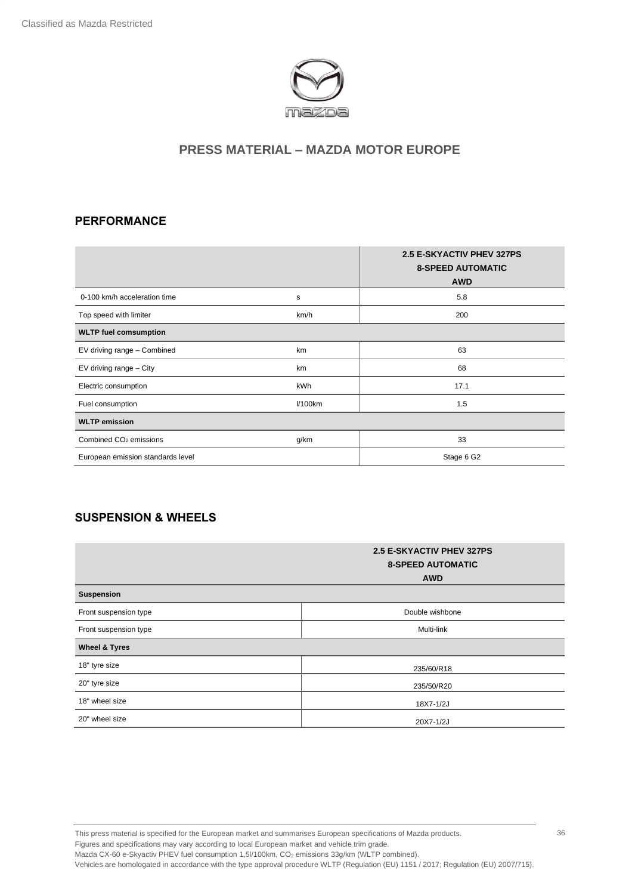

### **PERFORMANCE**

|                                    |         | <b>2.5 E-SKYACTIV PHEV 327PS</b><br><b>8-SPEED AUTOMATIC</b><br><b>AWD</b> |
|------------------------------------|---------|----------------------------------------------------------------------------|
| 0-100 km/h acceleration time       | s       | 5.8                                                                        |
| Top speed with limiter             | km/h    | 200                                                                        |
| <b>WLTP fuel comsumption</b>       |         |                                                                            |
| EV driving range - Combined        | km      | 63                                                                         |
| EV driving range - City            | km      | 68                                                                         |
| Electric consumption               | kWh     | 17.1                                                                       |
| Fuel consumption                   | l/100km | 1.5                                                                        |
| <b>WLTP emission</b>               |         |                                                                            |
| Combined CO <sub>2</sub> emissions | g/km    | 33                                                                         |
| European emission standards level  |         | Stage 6 G2                                                                 |

## **SUSPENSION & WHEELS**

|                          | 2.5 E-SKYACTIV PHEV 327PS<br><b>8-SPEED AUTOMATIC</b><br><b>AWD</b> |
|--------------------------|---------------------------------------------------------------------|
| Suspension               |                                                                     |
| Front suspension type    | Double wishbone                                                     |
| Front suspension type    | Multi-link                                                          |
| <b>Wheel &amp; Tyres</b> |                                                                     |
| 18" tyre size            | 235/60/R18                                                          |
| 20" tyre size            | 235/50/R20                                                          |
| 18" wheel size           | 18X7-1/2J                                                           |
| 20" wheel size           | 20X7-1/2J                                                           |

This press material is specified for the European market and summarises European specifications of Mazda products. Figures and specifications may vary according to local European market and vehicle trim grade. Mazda CX-60 e-Skyactiv PHEV fuel consumption 1,5l/100km, CO<sub>2</sub> emissions 33g/km (WLTP combined). Vehicles are homologated in accordance with the type approval procedure WLTP (Regulation (EU) 1151 / 2017; Regulation (EU) 2007/715).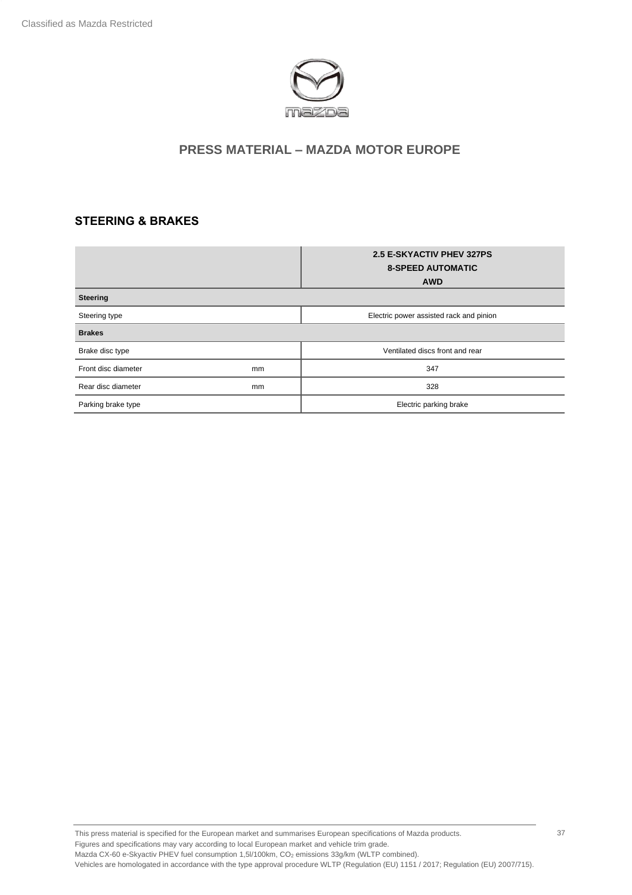

## **STEERING & BRAKES**

|                     |    | 2.5 E-SKYACTIV PHEV 327PS<br><b>8-SPEED AUTOMATIC</b><br><b>AWD</b> |
|---------------------|----|---------------------------------------------------------------------|
| Steering            |    |                                                                     |
| Steering type       |    | Electric power assisted rack and pinion                             |
| <b>Brakes</b>       |    |                                                                     |
| Brake disc type     |    | Ventilated discs front and rear                                     |
| Front disc diameter | mm | 347                                                                 |
| Rear disc diameter  | mm | 328                                                                 |
| Parking brake type  |    | Electric parking brake                                              |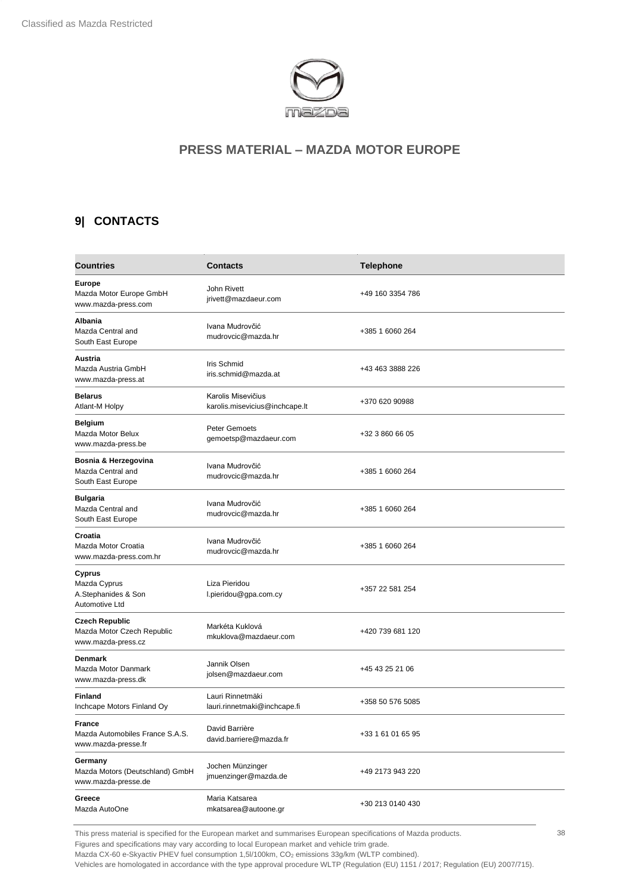

## <span id="page-37-0"></span>**9| CONTACTS**

| <b>Countries</b>                                                          | <b>Contacts</b>                                      | <b>Telephone</b>  |
|---------------------------------------------------------------------------|------------------------------------------------------|-------------------|
| <b>Europe</b><br>Mazda Motor Europe GmbH<br>www.mazda-press.com           | John Rivett<br>jrivett@mazdaeur.com                  | +49 160 3354 786  |
| Albania<br>Mazda Central and<br>South East Europe                         | Ivana Mudrovčić<br>mudrovcic@mazda.hr                | +385 1 6060 264   |
| Austria<br>Mazda Austria GmbH<br>www.mazda-press.at                       | Iris Schmid<br>iris.schmid@mazda.at                  | +43 463 3888 226  |
| <b>Belarus</b><br>Atlant-M Holpy                                          | Karolis Misevičius<br>karolis.misevicius@inchcape.lt | +370 620 90988    |
| <b>Belgium</b><br>Mazda Motor Belux<br>www.mazda-press.be                 | <b>Peter Gemoets</b><br>gemoetsp@mazdaeur.com        | +32 3 860 66 05   |
| Bosnia & Herzegovina<br>Mazda Central and<br>South East Europe            | Ivana Mudrovčić<br>mudrovcic@mazda.hr                | +385 1 6060 264   |
| <b>Bulgaria</b><br>Mazda Central and<br>South East Europe                 | Ivana Mudrovčić<br>mudrovcic@mazda.hr                | +385 1 6060 264   |
| Croatia<br>Mazda Motor Croatia<br>www.mazda-press.com.hr                  | Ivana Mudrovčić<br>mudrovcic@mazda.hr                | +385 1 6060 264   |
| Cyprus<br>Mazda Cyprus<br>A.Stephanides & Son<br>Automotive Ltd           | Liza Pieridou<br>l.pieridou@gpa.com.cy               | +357 22 581 254   |
| <b>Czech Republic</b><br>Mazda Motor Czech Republic<br>www.mazda-press.cz | Markéta Kuklová<br>mkuklova@mazdaeur.com             | +420 739 681 120  |
| <b>Denmark</b><br>Mazda Motor Danmark<br>www.mazda-press.dk               | Jannik Olsen<br>jolsen@mazdaeur.com                  | +45 43 25 21 06   |
| <b>Finland</b><br>Inchcape Motors Finland Oy                              | Lauri Rinnetmäki<br>lauri.rinnetmaki@inchcape.fi     | +358 50 576 5085  |
| <b>France</b><br>Mazda Automobiles France S.A.S.<br>www.mazda-presse.fr   | David Barrière<br>david.barriere@mazda.fr            | +33 1 61 01 65 95 |
| Germany<br>Mazda Motors (Deutschland) GmbH<br>www.mazda-presse.de         | Jochen Münzinger<br>jmuenzinger@mazda.de             | +49 2173 943 220  |
| Greece<br>Mazda AutoOne                                                   | Maria Katsarea<br>mkatsarea@autoone.gr               | +30 213 0140 430  |

This press material is specified for the European market and summarises European specifications of Mazda products.

Figures and specifications may vary according to local European market and vehicle trim grade.

Mazda CX-60 e-Skyactiv PHEV fuel consumption 1,5l/100km, CO<sub>2</sub> emissions 33g/km (WLTP combined).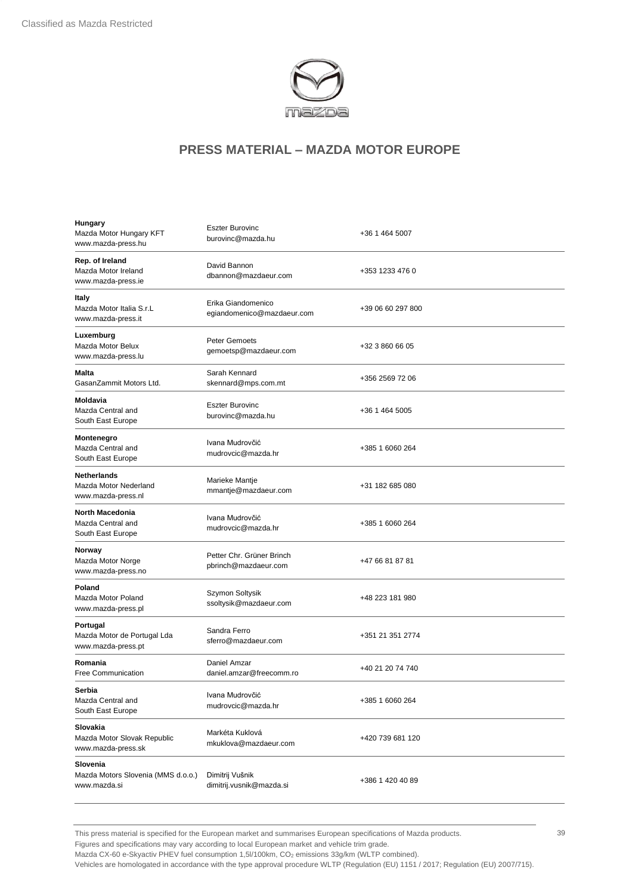

| Hungary<br>Mazda Motor Hungary KFT<br>www.mazda-press.hu          | <b>Eszter Burovinc</b><br>burovinc@mazda.hu       | +36 1 464 5007    |
|-------------------------------------------------------------------|---------------------------------------------------|-------------------|
| Rep. of Ireland<br>Mazda Motor Ireland<br>www.mazda-press.ie      | David Bannon<br>dbannon@mazdaeur.com              | +353 1233 476 0   |
| Italy<br>Mazda Motor Italia S.r.L<br>www.mazda-press.it           | Erika Giandomenico<br>egiandomenico@mazdaeur.com  | +39 06 60 297 800 |
| Luxemburg<br>Mazda Motor Belux<br>www.mazda-press.lu              | Peter Gemoets<br>gemoetsp@mazdaeur.com            | +32 3 860 66 05   |
| Malta<br>GasanZammit Motors Ltd.                                  | Sarah Kennard<br>skennard@mps.com.mt              | +356 2569 72 06   |
| Moldavia<br>Mazda Central and<br>South East Europe                | <b>Eszter Burovinc</b><br>burovinc@mazda.hu       | +36 1 464 5005    |
| Montenegro<br>Mazda Central and<br>South East Europe              | Ivana Mudrovčić<br>mudrovcic@mazda.hr             | +385 1 6060 264   |
| <b>Netherlands</b><br>Mazda Motor Nederland<br>www.mazda-press.nl | Marieke Mantje<br>mmantje@mazdaeur.com            | +31 182 685 080   |
| <b>North Macedonia</b><br>Mazda Central and<br>South East Europe  | Ivana Mudrovčić<br>mudrovcic@mazda.hr             | +385 1 6060 264   |
| Norway<br>Mazda Motor Norge<br>www.mazda-press.no                 | Petter Chr. Grüner Brinch<br>pbrinch@mazdaeur.com | +47 66 81 87 81   |
| Poland<br>Mazda Motor Poland<br>www.mazda-press.pl                | Szymon Soltysik<br>ssoltysik@mazdaeur.com         | +48 223 181 980   |
| Portugal<br>Mazda Motor de Portugal Lda<br>www.mazda-press.pt     | Sandra Ferro<br>sferro@mazdaeur.com               | +351 21 351 2774  |
| Romania<br><b>Free Communication</b>                              | Daniel Amzar<br>daniel.amzar@freecomm.ro          | +40 21 20 74 740  |
| Serbia<br>Mazda Central and<br>South East Europe                  | Ivana Mudrovčić<br>mudrovcic@mazda.hr             | +385 1 6060 264   |
| Slovakia<br>Mazda Motor Slovak Republic<br>www.mazda-press.sk     | Markéta Kuklová<br>mkuklova@mazdaeur.com          | +420 739 681 120  |
| Slovenia<br>Mazda Motors Slovenia (MMS d.o.o.)<br>www.mazda.si    | Dimitrij Vušnik<br>dimitrij.vusnik@mazda.si       | +386 1 420 40 89  |

This press material is specified for the European market and summarises European specifications of Mazda products.

Figures and specifications may vary according to local European market and vehicle trim grade.

Mazda CX-60 e-Skyactiv PHEV fuel consumption 1,5l/100km, CO<sub>2</sub> emissions 33g/km (WLTP combined).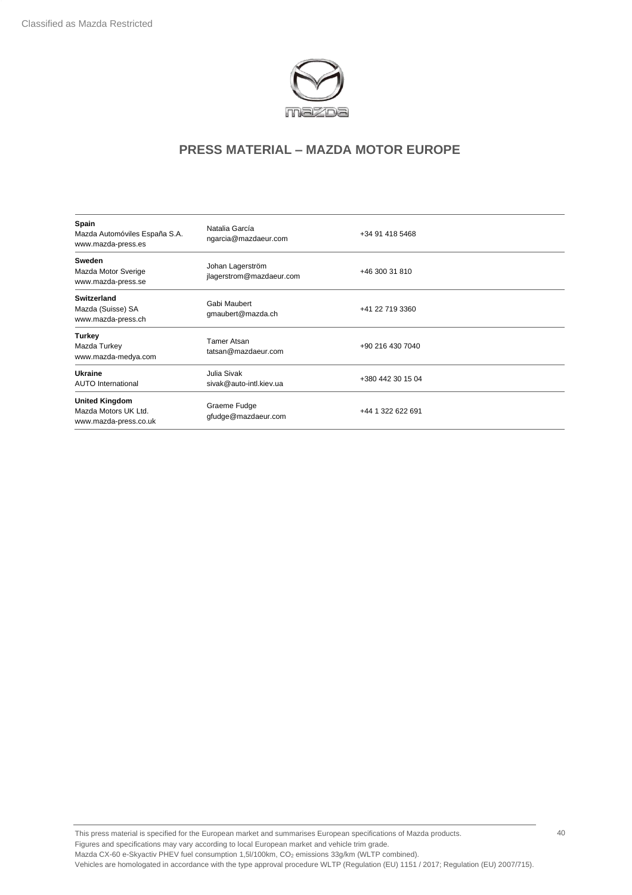

| Spain<br>Mazda Automóviles España S.A.<br>www.mazda-press.es           | Natalia García<br>ngarcia@mazdaeur.com       | +34 91 418 5468   |
|------------------------------------------------------------------------|----------------------------------------------|-------------------|
| Sweden<br>Mazda Motor Sverige<br>www.mazda-press.se                    | Johan Lagerström<br>jlagerstrom@mazdaeur.com | +46 300 31 810    |
| Switzerland<br>Mazda (Suisse) SA<br>www.mazda-press.ch                 | Gabi Maubert<br>gmaubert@mazda.ch            | +41 22 719 3360   |
| Turkey<br>Mazda Turkey<br>www.mazda-medya.com                          | Tamer Atsan<br>tatsan@mazdaeur.com           | +90 216 430 7040  |
| Ukraine<br><b>AUTO International</b>                                   | Julia Sivak<br>sivak@auto-intl.kiev.ua       | +380 442 30 15 04 |
| <b>United Kingdom</b><br>Mazda Motors UK Ltd.<br>www.mazda-press.co.uk | Graeme Fudge<br>gfudge@mazdaeur.com          | +44 1 322 622 691 |